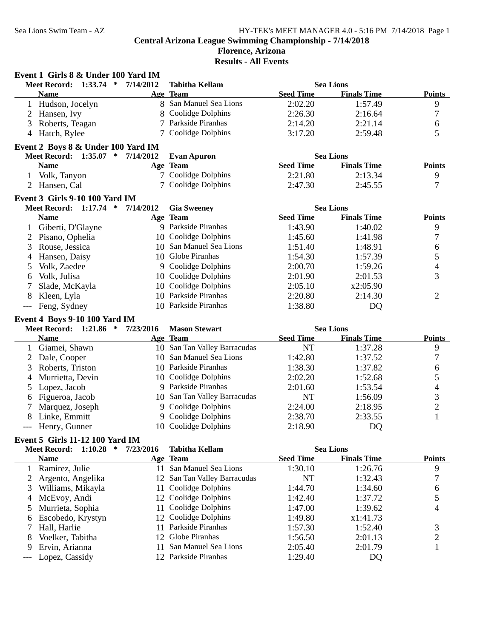**Event 1 Girls 8 & Under 100 Yard IM**

## **Central Arizona League Swimming Championship - 7/14/2018**

# **Florence, Arizona**

**Results - All Events**

|                | <b>Meet Record:</b>             | $1:33.74$ * | 7/14/2012                          | <b>Tabitha Kellam</b>        |                  | <b>Sea Lions</b>   |                          |
|----------------|---------------------------------|-------------|------------------------------------|------------------------------|------------------|--------------------|--------------------------|
|                | <b>Name</b>                     |             |                                    | Age Team                     | <b>Seed Time</b> | <b>Finals Time</b> | <b>Points</b>            |
|                | 1 Hudson, Jocelyn               |             |                                    | 8 San Manuel Sea Lions       | 2:02.20          | 1:57.49            | 9                        |
| $\overline{2}$ | Hansen, Ivy                     |             | 8                                  | Coolidge Dolphins            | 2:26.30          | 2:16.64            | 7                        |
| 3              | Roberts, Teagan                 |             |                                    | Parkside Piranhas            | 2:14.20          | 2:21.14            | 6                        |
|                | 4 Hatch, Rylee                  |             | 7                                  | Coolidge Dolphins            | 3:17.20          | 2:59.48            | 5                        |
|                |                                 |             | Event 2 Boys 8 & Under 100 Yard IM |                              |                  |                    |                          |
|                |                                 |             | Meet Record: 1:35.07 * 7/14/2012   | <b>Evan Apuron</b>           |                  | <b>Sea Lions</b>   |                          |
|                | <b>Name</b>                     |             |                                    | Age Team                     | <b>Seed Time</b> | <b>Finals Time</b> | <b>Points</b>            |
|                | 1 Volk, Tanyon                  |             |                                    | 7 Coolidge Dolphins          | 2:21.80          | 2:13.34            | 9                        |
|                | 2 Hansen, Cal                   |             |                                    | 7 Coolidge Dolphins          | 2:47.30          | 2:45.55            | 7                        |
|                | Event 3 Girls 9-10 100 Yard IM  |             |                                    |                              |                  |                    |                          |
|                | Meet Record: 1:17.74 *          |             | 7/14/2012                          | <b>Gia Sweeney</b>           |                  | <b>Sea Lions</b>   |                          |
|                | <b>Name</b>                     |             |                                    | Age Team                     | <b>Seed Time</b> | <b>Finals Time</b> | <b>Points</b>            |
| $\mathbf{1}$   | Giberti, D'Glayne               |             |                                    | 9 Parkside Piranhas          | 1:43.90          | 1:40.02            | 9                        |
| $\overline{2}$ | Pisano, Ophelia                 |             |                                    | 10 Coolidge Dolphins         | 1:45.60          | 1:41.98            | $\boldsymbol{7}$         |
| 3              | Rouse, Jessica                  |             |                                    | 10 San Manuel Sea Lions      | 1:51.40          | 1:48.91            | 6                        |
|                | Hansen, Daisy                   |             |                                    | 10 Globe Piranhas            | 1:54.30          | 1:57.39            | 5                        |
| 4              | Volk, Zaedee                    |             |                                    | 9 Coolidge Dolphins          | 2:00.70          | 1:59.26            | 4                        |
| 5              | Volk, Julisa                    |             |                                    | 10 Coolidge Dolphins         | 2:01.90          | 2:01.53            | 3                        |
| 6<br>7         |                                 |             | 10                                 | Coolidge Dolphins            |                  | x2:05.90           |                          |
|                | Slade, McKayla                  |             | 10                                 | Parkside Piranhas            | 2:05.10          |                    |                          |
| 8              | Kleen, Lyla<br>Feng, Sydney     |             |                                    | 10 Parkside Piranhas         | 2:20.80          | 2:14.30            | 2                        |
| $---$          |                                 |             |                                    |                              | 1:38.80          | DQ                 |                          |
|                | Event 4 Boys 9-10 100 Yard IM   |             |                                    |                              |                  |                    |                          |
|                |                                 |             |                                    |                              |                  |                    |                          |
|                | Meet Record: 1:21.86 *          |             | 7/23/2016                          | <b>Mason Stewart</b>         |                  | <b>Sea Lions</b>   |                          |
|                | <b>Name</b>                     |             |                                    | Age Team                     | <b>Seed Time</b> | <b>Finals Time</b> | <b>Points</b>            |
| 1              | Giamei, Shawn                   |             |                                    | 10 San Tan Valley Barracudas | <b>NT</b>        | 1:37.28            | 9                        |
| 2              | Dale, Cooper                    |             |                                    | 10 San Manuel Sea Lions      | 1:42.80          | 1:37.52            | $\boldsymbol{7}$         |
| 3              | Roberts, Triston                |             |                                    | 10 Parkside Piranhas         | 1:38.30          | 1:37.82            | 6                        |
| 4              | Murrietta, Devin                |             |                                    | 10 Coolidge Dolphins         | 2:02.20          | 1:52.68            | 5                        |
| 5              | Lopez, Jacob                    |             |                                    | 9 Parkside Piranhas          | 2:01.60          | 1:53.54            | $\overline{\mathcal{L}}$ |
| 6              | Figueroa, Jacob                 |             |                                    | 10 San Tan Valley Barracudas | NT               | 1:56.09            | 3                        |
|                | Marquez, Joseph                 |             |                                    | 9 Coolidge Dolphins          | 2:24.00          | 2:18.95            | $\overline{c}$           |
| 8              | Linke, Emmitt                   |             |                                    | 9 Coolidge Dolphins          | 2:38.70          | 2:33.55            | $\mathbf{1}$             |
| $---$          | Henry, Gunner                   |             |                                    | 10 Coolidge Dolphins         | 2:18.90          | DQ                 |                          |
|                | Event 5 Girls 11-12 100 Yard IM |             |                                    |                              |                  |                    |                          |
|                |                                 |             | Meet Record: 1:10.28 * 7/23/2016   | <b>Tabitha Kellam</b>        |                  | <b>Sea Lions</b>   |                          |
|                | <b>Name</b>                     |             |                                    | Age Team                     | <b>Seed Time</b> | <b>Finals Time</b> | <b>Points</b>            |
| 1              | Ramirez, Julie                  |             |                                    | 11 San Manuel Sea Lions      | 1:30.10          | 1:26.76            | 9                        |
| 2              | Argento, Angelika               |             |                                    | 12 San Tan Valley Barracudas | NT               | 1:32.43            | 7                        |
| 3              | Williams, Mikayla               |             | 11                                 | Coolidge Dolphins            | 1:44.70          | 1:34.60            | 6                        |
| 4              | McEvoy, Andi                    |             |                                    | 12 Coolidge Dolphins         | 1:42.40          | 1:37.72            | 5                        |
| 5              | Murrieta, Sophia                |             | 11                                 | Coolidge Dolphins            | 1:47.00          | 1:39.62            | 4                        |
| 6              | Escobedo, Krystyn               |             | 12                                 | Coolidge Dolphins            | 1:49.80          | x1:41.73           |                          |
| 7              | Hall, Harlie                    |             | 11                                 | Parkside Piranhas            | 1:57.30          | 1:52.40            | 3                        |
| 8              | Voelker, Tabitha                |             | 12                                 | Globe Piranhas               | 1:56.50          | 2:01.13            | $\overline{c}$           |
| 9              | Ervin, Arianna                  |             | 11                                 | San Manuel Sea Lions         | 2:05.40          | 2:01.79            | $\mathbf{1}$             |
|                | Lopez, Cassidy                  |             |                                    | 12 Parkside Piranhas         | 1:29.40          | DQ                 |                          |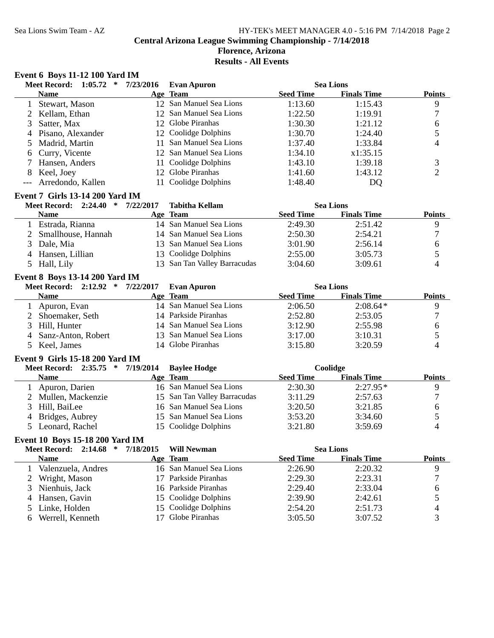## **Florence, Arizona**

**Results - All Events**

## **Event 6 Boys 11-12 100 Yard IM**

|                | <b>Meet Record:</b><br>1:05.72<br>$\ast$ | 7/23/2016 | <b>Evan Apuron</b>           |                  | <b>Sea Lions</b>   |                |
|----------------|------------------------------------------|-----------|------------------------------|------------------|--------------------|----------------|
|                | <b>Name</b>                              |           | Age Team                     | <b>Seed Time</b> | <b>Finals Time</b> | <b>Points</b>  |
| $\mathbf{1}$   | Stewart, Mason                           |           | 12 San Manuel Sea Lions      | 1:13.60          | 1:15.43            | 9              |
| 2              | Kellam, Ethan                            |           | 12 San Manuel Sea Lions      | 1:22.50          | 1:19.91            | $\sqrt{ }$     |
| 3              | Satter, Max                              |           | 12 Globe Piranhas            | 1:30.30          | 1:21.12            | 6              |
| 4              | Pisano, Alexander                        |           | 12 Coolidge Dolphins         | 1:30.70          | 1:24.40            | 5              |
| 5              | Madrid, Martin                           | 11        | San Manuel Sea Lions         | 1:37.40          | 1:33.84            | 4              |
| 6              | Curry, Vicente                           |           | 12 San Manuel Sea Lions      | 1:34.10          | x1:35.15           |                |
|                | Hansen, Anders                           | 11        | Coolidge Dolphins            | 1:43.10          | 1:39.18            | 3              |
| 8              | Keel, Joey                               | 12        | Globe Piranhas               | 1:41.60          | 1:43.12            | $\overline{2}$ |
|                | Arredondo, Kallen                        | 11        | Coolidge Dolphins            | 1:48.40          | DQ                 |                |
|                | <b>Event 7 Girls 13-14 200 Yard IM</b>   |           |                              |                  |                    |                |
|                | Meet Record: 2:24.40 * 7/22/2017         |           | <b>Tabitha Kellam</b>        |                  | <b>Sea Lions</b>   |                |
|                | <b>Name</b>                              |           | Age Team                     | <b>Seed Time</b> | <b>Finals Time</b> | <b>Points</b>  |
|                | 1 Estrada, Rianna                        |           | 14 San Manuel Sea Lions      | 2:49.30          | 2:51.42            | 9              |
| $\overline{2}$ | Smallhouse, Hannah                       |           | 14 San Manuel Sea Lions      | 2:50.30          | 2:54.21            | $\tau$         |
| 3              | Dale, Mia                                |           | 13 San Manuel Sea Lions      | 3:01.90          | 2:56.14            | 6              |
| 4              | Hansen, Lillian                          |           | 13 Coolidge Dolphins         | 2:55.00          | 3:05.73            | 5              |
| 5              | Hall, Lily                               |           | 13 San Tan Valley Barracudas | 3:04.60          | 3:09.61            | 4              |
|                | <b>Event 8 Boys 13-14 200 Yard IM</b>    |           |                              |                  |                    |                |
|                | Meet Record: 2:12.92 *                   | 7/22/2017 | <b>Evan Apuron</b>           |                  | <b>Sea Lions</b>   |                |
|                | <b>Name</b>                              |           | Age Team                     | <b>Seed Time</b> | <b>Finals Time</b> | <b>Points</b>  |
| $\mathbf{1}$   | Apuron, Evan                             |           | 14 San Manuel Sea Lions      | 2:06.50          | $2:08.64*$         | 9              |
| 2              | Shoemaker, Seth                          |           | 14 Parkside Piranhas         | 2:52.80          | 2:53.05            | 7              |
| 3              | Hill, Hunter                             |           | 14 San Manuel Sea Lions      | 3:12.90          | 2:55.98            | 6              |
| 4              | Sanz-Anton, Robert                       | 13        | San Manuel Sea Lions         | 3:17.00          | 3:10.31            | 5              |
| 5              | Keel, James                              |           | 14 Globe Piranhas            | 3:15.80          | 3:20.59            | 4              |
|                | Event 9 Girls 15-18 200 Yard IM          |           |                              |                  |                    |                |
|                | <b>Meet Record:</b><br>$2:35.75$ *       | 7/19/2014 | <b>Baylee Hodge</b>          |                  | Coolidge           |                |
|                | <b>Name</b>                              |           | Age Team                     | <b>Seed Time</b> | <b>Finals Time</b> | <b>Points</b>  |
| 1              | Apuron, Darien                           |           | 16 San Manuel Sea Lions      | 2:30.30          | $2:27.95*$         | 9              |
| 2              | Mullen, Mackenzie                        |           | 15 San Tan Valley Barracudas | 3:11.29          | 2:57.63            | $\tau$         |
| 3              | Hill, BaiLee                             |           | 16 San Manuel Sea Lions      | 3:20.50          | 3:21.85            | 6              |
| 4              | Bridges, Aubrey                          |           | 15 San Manuel Sea Lions      | 3:53.20          | 3:34.60            | 5              |
| 5              | Leonard, Rachel                          |           | 15 Coolidge Dolphins         | 3:21.80          | 3:59.69            | 4              |
|                | Event 10 Boys 15-18 200 Yard IM          |           |                              |                  |                    |                |
|                | <b>Meet Record:</b><br>2:14.68<br>∗      | 7/18/2015 | <b>Will Newman</b>           |                  | <b>Sea Lions</b>   |                |
|                | <b>Name</b>                              |           | Age Team                     | <b>Seed Time</b> | <b>Finals Time</b> | <b>Points</b>  |
| 1              | Valenzuela, Andres                       |           | 16 San Manuel Sea Lions      | 2:26.90          | 2:20.32            | 9              |
| 2              | Wright, Mason                            | 17        | Parkside Piranhas            | 2:29.30          | 2:23.31            | 7              |
| 3              | Nienhuis, Jack                           | 16        | Parkside Piranhas            | 2:29.40          | 2:33.04            | 6              |
| 4              | Hansen, Gavin                            | 15        | Coolidge Dolphins            | 2:39.90          | 2:42.61            | 5              |
| 5              | Linke, Holden                            | 15        | Coolidge Dolphins            | 2:54.20          | 2:51.73            | 4              |
| 6              | Werrell, Kenneth                         | 17        | Globe Piranhas               | 3:05.50          | 3:07.52            | 3              |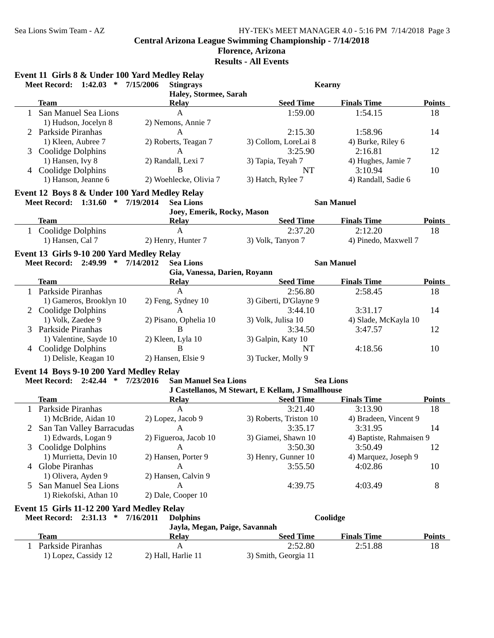|              | Event 11 Girls 8 & Under 100 Yard Medley Relay<br>Meet Record: 1:42.03 * | 7/15/2006<br><b>Stingrays</b>            | <b>Kearny</b>                                    |                          |               |
|--------------|--------------------------------------------------------------------------|------------------------------------------|--------------------------------------------------|--------------------------|---------------|
|              |                                                                          | Haley, Stormee, Sarah                    |                                                  |                          |               |
|              | <b>Team</b>                                                              | <b>Relay</b>                             | <b>Seed Time</b>                                 | <b>Finals Time</b>       | <b>Points</b> |
|              | 1 San Manuel Sea Lions                                                   | $\mathbf{A}$                             | 1:59.00                                          | 1:54.15                  | 18            |
|              | 1) Hudson, Jocelyn 8                                                     | 2) Nemons, Annie 7                       |                                                  |                          |               |
|              | 2 Parkside Piranhas                                                      | $\mathbf{A}$                             | 2:15.30                                          | 1:58.96                  | 14            |
|              | 1) Kleen, Aubree 7                                                       | 2) Roberts, Teagan 7                     | 3) Collom, LoreLai 8                             | 4) Burke, Riley 6        |               |
|              | 3 Coolidge Dolphins                                                      | A                                        | 3:25.90                                          | 2:16.81                  | 12            |
|              | 1) Hansen, Ivy 8                                                         | 2) Randall, Lexi 7                       | 3) Tapia, Teyah 7                                | 4) Hughes, Jamie 7       |               |
|              | 4 Coolidge Dolphins                                                      | $\bf{B}$                                 | NT                                               | 3:10.94                  | 10            |
|              | 1) Hanson, Jeanne 6                                                      | 2) Woehlecke, Olivia 7                   | 3) Hatch, Rylee 7                                | 4) Randall, Sadie 6      |               |
|              | Event 12 Boys 8 & Under 100 Yard Medley Relay                            |                                          |                                                  |                          |               |
|              | Meet Record: 1:31.60 * 7/19/2014                                         | <b>Sea Lions</b>                         |                                                  | <b>San Manuel</b>        |               |
|              |                                                                          | Joey, Emerik, Rocky, Mason               |                                                  |                          |               |
|              | <b>Team</b>                                                              | <b>Relay</b>                             | <b>Seed Time</b>                                 | <b>Finals Time</b>       | <b>Points</b> |
|              | 1 Coolidge Dolphins                                                      | $\mathbf{A}$                             | 2:37.20                                          | 2:12.20                  | 18            |
|              | 1) Hansen, Cal 7                                                         | 2) Henry, Hunter 7                       | 3) Volk, Tanyon 7                                | 4) Pinedo, Maxwell 7     |               |
|              | Event 13 Girls 9-10 200 Yard Medley Relay                                |                                          |                                                  |                          |               |
|              | Meet Record: 2:49.99 * 7/14/2012                                         | <b>Sea Lions</b>                         |                                                  | <b>San Manuel</b>        |               |
|              |                                                                          | Gia, Vanessa, Darien, Royann             |                                                  |                          |               |
|              | Team                                                                     | <b>Relay</b>                             | <b>Seed Time</b>                                 | <b>Finals Time</b>       | <b>Points</b> |
| $\mathbf{1}$ | Parkside Piranhas                                                        | A                                        | 2:56.80                                          | 2:58.45                  | 18            |
|              | 1) Gameros, Brooklyn 10                                                  | 2) Feng, Sydney 10                       | 3) Giberti, D'Glayne 9                           |                          |               |
|              | 2 Coolidge Dolphins                                                      | A                                        | 3:44.10                                          | 3:31.17                  | 14            |
|              | 1) Volk, Zaedee 9                                                        | 2) Pisano, Ophelia 10                    | 3) Volk, Julisa 10                               | 4) Slade, McKayla 10     |               |
|              | 3 Parkside Piranhas                                                      | B                                        | 3:34.50                                          | 3:47.57                  | 12            |
|              | 1) Valentine, Sayde 10                                                   | 2) Kleen, Lyla 10                        | 3) Galpin, Katy 10                               |                          |               |
|              | 4 Coolidge Dolphins                                                      | B                                        | NT                                               | 4:18.56                  | 10            |
|              | 1) Delisle, Keagan 10                                                    | 2) Hansen, Elsie 9                       | 3) Tucker, Molly 9                               |                          |               |
|              | Event 14 Boys 9-10 200 Yard Medley Relay                                 |                                          |                                                  |                          |               |
|              | <b>Meet Record: 2:42.44</b><br>∗                                         | 7/23/2016<br><b>San Manuel Sea Lions</b> |                                                  | <b>Sea Lions</b>         |               |
|              |                                                                          |                                          | J Castellanos, M Stewart, E Kellam, J Smallhouse |                          |               |
|              | Team                                                                     | <b>Relay</b>                             | <b>Seed Time</b>                                 | <b>Finals Time</b>       | <b>Points</b> |
|              | 1 Parkside Piranhas                                                      | $\mathbf{A}$                             | 3:21.40                                          | 3:13.90                  | 18            |
|              | 1) McBride, Aidan 10                                                     | 2) Lopez, Jacob 9                        | 3) Roberts, Triston 10                           | 4) Bradeen, Vincent 9    |               |
|              | 2 San Tan Valley Barracudas                                              | A                                        | 3:35.17                                          | 3:31.95                  | 14            |
|              | 1) Edwards, Logan 9                                                      | 2) Figueroa, Jacob 10                    | 3) Giamei, Shawn 10                              | 4) Baptiste, Rahmaisen 9 |               |
| 3            | Coolidge Dolphins                                                        | A                                        | 3:50.30                                          | 3:50.49                  | 12            |
|              | 1) Murrietta, Devin 10                                                   | 2) Hansen, Porter 9                      | 3) Henry, Gunner 10                              | 4) Marquez, Joseph 9     |               |
| 4            | Globe Piranhas                                                           | A                                        | 3:55.50                                          | 4:02.86                  | 10            |
|              | 1) Olivera, Ayden 9                                                      | 2) Hansen, Calvin 9                      |                                                  |                          |               |
| 5            | San Manuel Sea Lions                                                     | A                                        | 4:39.75                                          | 4:03.49                  | 8             |
|              | 1) Riekofski, Athan 10                                                   | 2) Dale, Cooper 10                       |                                                  |                          |               |
|              | Event 15 Girls 11-12 200 Yard Medley Relay                               |                                          |                                                  |                          |               |
|              | Meet Record: 2:31.13 *                                                   | 7/16/2011<br><b>Dolphins</b>             |                                                  | Coolidge                 |               |
|              |                                                                          | Jayla, Megan, Paige, Savannah            |                                                  |                          |               |
|              | <b>Team</b>                                                              | <b>Relay</b>                             | <b>Seed Time</b>                                 | <b>Finals Time</b>       | <b>Points</b> |
| 1            | Parkside Piranhas                                                        | A                                        | 2:52.80                                          | 2:51.88                  | 18            |
|              | 1) Lopez, Cassidy 12                                                     | 2) Hall, Harlie 11                       | 3) Smith, Georgia 11                             |                          |               |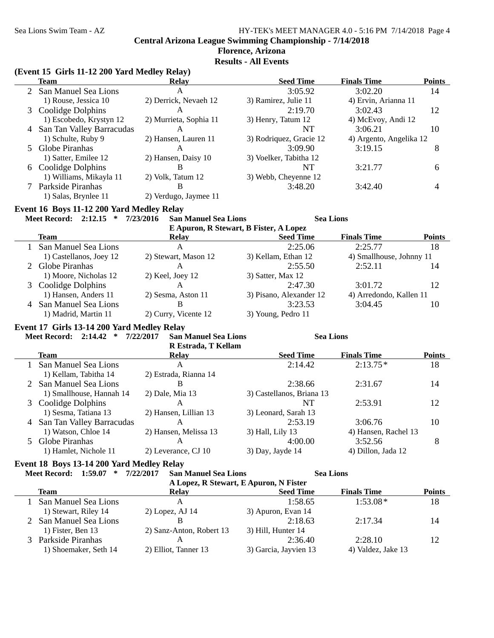### **Florence, Arizona Results - All Events**

## **(Event 15 Girls 11-12 200 Yard Medley Relay)**

| <b>Team</b>                                    | <b>Relay</b>                             | <b>Seed Time</b>                       | <b>Finals Time</b>       | <b>Points</b> |
|------------------------------------------------|------------------------------------------|----------------------------------------|--------------------------|---------------|
| 2 San Manuel Sea Lions                         | A                                        | 3:05.92                                | 3:02.20                  | 14            |
| 1) Rouse, Jessica 10                           | 2) Derrick, Nevaeh 12                    | 3) Ramirez, Julie 11                   | 4) Ervin, Arianna 11     |               |
| 3 Coolidge Dolphins                            | A                                        | 2:19.70                                | 3:02.43                  | 12            |
| 1) Escobedo, Krystyn 12                        | 2) Murrieta, Sophia 11                   | 3) Henry, Tatum 12                     | 4) McEvoy, Andi 12       |               |
| 4 San Tan Valley Barracudas                    | A                                        | <b>NT</b>                              | 3:06.21                  | 10            |
| 1) Schulte, Ruby 9                             | 2) Hansen, Lauren 11                     | 3) Rodriquez, Gracie 12                | 4) Argento, Angelika 12  |               |
| 5 Globe Piranhas                               | $\mathsf{A}$                             | 3:09.90                                | 3:19.15                  | 8             |
| 1) Satter, Emilee 12                           | 2) Hansen, Daisy 10                      | 3) Voelker, Tabitha 12                 |                          |               |
| 6 Coolidge Dolphins                            | $\, {\bf B}$                             | <b>NT</b>                              | 3:21.77                  | 6             |
| 1) Williams, Mikayla 11                        | 2) Volk, Tatum 12                        | 3) Webb, Cheyenne 12                   |                          |               |
| 7 Parkside Piranhas                            | В                                        | 3:48.20                                | 3:42.40                  | 4             |
| 1) Salas, Brynlee 11                           | 2) Verdugo, Jaymee 11                    |                                        |                          |               |
| Event 16 Boys 11-12 200 Yard Medley Relay      |                                          |                                        |                          |               |
| Meet Record: 2:12.15 *                         | 7/23/2016<br><b>San Manuel Sea Lions</b> | <b>Sea Lions</b>                       |                          |               |
|                                                |                                          | E Apuron, R Stewart, B Fister, A Lopez |                          |               |
| <b>Team</b>                                    | <b>Relay</b>                             | <b>Seed Time</b>                       | <b>Finals Time</b>       | Points        |
| 1 San Manuel Sea Lions                         | $\mathbf{A}$                             | 2:25.06                                | 2:25.77                  | 18            |
| 1) Castellanos, Joey 12                        | 2) Stewart, Mason 12                     | 3) Kellam, Ethan 12                    | 4) Smallhouse, Johnny 11 |               |
| 2 Globe Piranhas                               | A                                        | 2:55.50                                | 2:52.11                  | 14            |
| 1) Moore, Nicholas 12                          | 2) Keel, Joey 12                         | 3) Satter, Max 12                      |                          |               |
| 3 Coolidge Dolphins                            | A                                        | 2:47.30                                | 3:01.72                  | 12            |
| 1) Hansen, Anders 11                           | 2) Sesma, Aston 11                       | 3) Pisano, Alexander 12                | 4) Arredondo, Kallen 11  |               |
| 4 San Manuel Sea Lions                         | B                                        | 3:23.53                                | 3:04.45                  | 10            |
| 1) Madrid, Martin 11                           | 2) Curry, Vicente 12                     | 3) Young, Pedro 11                     |                          |               |
| Event 17 Girls 13-14 200 Yard Medley Relay     |                                          |                                        |                          |               |
| Meet Record: 2:14.42 *                         | 7/22/2017<br><b>San Manuel Sea Lions</b> | <b>Sea Lions</b>                       |                          |               |
|                                                | R Estrada, T Kellam                      |                                        |                          |               |
| <b>Team</b>                                    | <b>Relay</b>                             | <b>Seed Time</b>                       | <b>Finals Time</b>       | <b>Points</b> |
| 1 San Manuel Sea Lions                         | $\mathbf{A}$                             | 2:14.42                                | $2:13.75*$               | 18            |
| 1) Kellam, Tabitha 14                          | 2) Estrada, Rianna 14                    |                                        |                          |               |
| 2 San Manuel Sea Lions                         | B                                        | 2:38.66                                | 2:31.67                  | 14            |
| 1) Smallhouse, Hannah 14                       | 2) Dale, Mia 13                          | 3) Castellanos, Briana 13              |                          |               |
| 3 Coolidge Dolphins                            | $\mathsf{A}$                             | <b>NT</b>                              | 2:53.91                  | 12            |
| 1) Sesma, Tatiana 13                           | 2) Hansen, Lillian 13                    | 3) Leonard, Sarah 13                   |                          |               |
| 4 San Tan Valley Barracudas                    | A                                        | 2:53.19                                | 3:06.76                  | 10            |
| 1) Watson, Chloe 14                            | 2) Hansen, Melissa 13                    | 3) Hall, Lily 13                       | 4) Hansen, Rachel 13     |               |
| 5 Globe Piranhas                               | A                                        | 4:00.00                                | 3:52.56                  | 8             |
| 1) Hamlet, Nichole 11                          | 2) Leverance, CJ 10                      | 3) Day, Jayde 14                       | 4) Dillon, Jada 12       |               |
| Event 18 Boys 13-14 200 Yard Medley Relay      |                                          |                                        |                          |               |
| $1:59.07$ * $7/22/2017$<br><b>Meet Record:</b> | <b>San Manuel Sea Lions</b>              | <b>Sea Lions</b>                       |                          |               |

| эан манисі эса Liviis                  |  |  |
|----------------------------------------|--|--|
| A Lopez, R Stewart, E Apuron, N Fister |  |  |

| A Lopez, K Stewart, E Apuron, IN Fister |                          |                       |                    |               |  |  |  |
|-----------------------------------------|--------------------------|-----------------------|--------------------|---------------|--|--|--|
| Team                                    | <b>Relay</b>             | <b>Seed Time</b>      | <b>Finals Time</b> | <b>Points</b> |  |  |  |
| San Manuel Sea Lions                    |                          | 1:58.65               | $1:53.08*$         | 18            |  |  |  |
| 1) Stewart, Riley 14                    | $2)$ Lopez, AJ 14        | 3) Apuron, Evan 14    |                    |               |  |  |  |
| 2 San Manuel Sea Lions                  |                          | 2:18.63               | 2:17.34            | 14            |  |  |  |
| 1) Fister, Ben 13                       | 2) Sanz-Anton, Robert 13 | 3) Hill, Hunter 14    |                    |               |  |  |  |
| 3 Parkside Piranhas                     |                          | 2:36.40               | 2:28.10            | 12            |  |  |  |
| 1) Shoemaker, Seth 14                   | 2) Elliot, Tanner 13     | 3) Garcia, Jayvien 13 | 4) Valdez, Jake 13 |               |  |  |  |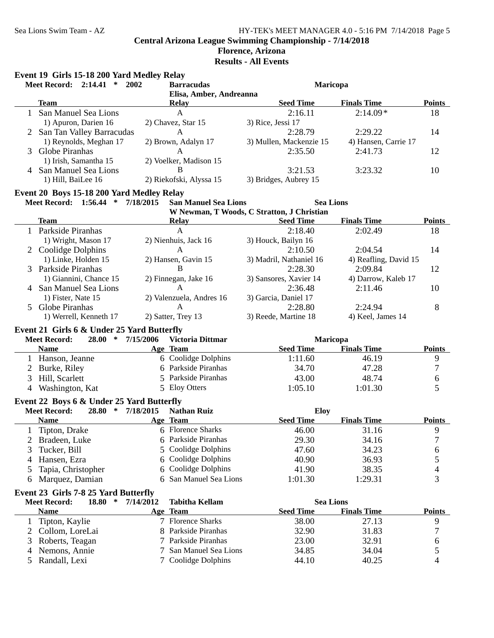# **Florence, Arizona**

**Results - All Events**

|                | Event 19 Girls 15-18 200 Yard Medley Relay<br><b>Meet Record: 2:14.41</b><br>$\ast$ | 2002      | <b>Barracudas</b>           | Maricopa                                   |                       |                  |
|----------------|-------------------------------------------------------------------------------------|-----------|-----------------------------|--------------------------------------------|-----------------------|------------------|
|                |                                                                                     |           | Elisa, Amber, Andreanna     |                                            |                       |                  |
|                | <b>Team</b>                                                                         |           | <b>Relay</b>                | <b>Seed Time</b>                           | <b>Finals Time</b>    | <b>Points</b>    |
|                | 1 San Manuel Sea Lions                                                              |           | $\mathbf{A}$                | 2:16.11                                    | $2:14.09*$            | 18               |
|                | 1) Apuron, Darien 16                                                                |           | 2) Chavez, Star 15          | 3) Rice, Jessi 17                          |                       |                  |
|                | 2 San Tan Valley Barracudas                                                         |           | $\mathbf{A}$                | 2:28.79                                    | 2:29.22               | 14               |
|                | 1) Reynolds, Meghan 17                                                              |           | 2) Brown, Adalyn 17         |                                            | 4) Hansen, Carrie 17  |                  |
| 3              | Globe Piranhas                                                                      |           | $\mathbf{A}$                | 3) Mullen, Mackenzie 15<br>2:35.50         | 2:41.73               | 12               |
|                |                                                                                     |           |                             |                                            |                       |                  |
|                | 1) Irish, Samantha 15                                                               |           | 2) Voelker, Madison 15      |                                            |                       |                  |
|                | 4 San Manuel Sea Lions                                                              |           | B                           | 3:21.53                                    | 3:23.32               | 10               |
|                | 1) Hill, BaiLee 16                                                                  |           | 2) Riekofski, Alyssa 15     | 3) Bridges, Aubrey 15                      |                       |                  |
|                | Event 20 Boys 15-18 200 Yard Medley Relay                                           |           |                             |                                            |                       |                  |
|                | Meet Record: 1:56.44 * 7/18/2015                                                    |           | <b>San Manuel Sea Lions</b> | <b>Sea Lions</b>                           |                       |                  |
|                |                                                                                     |           |                             | W Newman, T Woods, C Stratton, J Christian |                       |                  |
|                | Team                                                                                |           | <b>Relay</b>                | <b>Seed Time</b>                           | <b>Finals Time</b>    | <b>Points</b>    |
|                | 1 Parkside Piranhas                                                                 |           | $\mathbf{A}$                | 2:18.40                                    | 2:02.49               | 18               |
|                | 1) Wright, Mason 17                                                                 |           | 2) Nienhuis, Jack 16        | 3) Houck, Bailyn 16                        |                       |                  |
|                | Coolidge Dolphins                                                                   |           | $\mathsf{A}$                | 2:10.50                                    | 2:04.54               | 14               |
|                | 1) Linke, Holden 15                                                                 |           | 2) Hansen, Gavin 15         | 3) Madril, Nathaniel 16                    | 4) Reafling, David 15 |                  |
| 3              | Parkside Piranhas                                                                   |           | B                           | 2:28.30                                    | 2:09.84               | 12               |
|                | 1) Giannini, Chance 15                                                              |           | 2) Finnegan, Jake 16        | 3) Sansores, Xavier 14                     | 4) Darrow, Kaleb 17   |                  |
|                | 4 San Manuel Sea Lions                                                              |           | A                           | 2:36.48                                    | 2:11.46               | 10               |
|                | 1) Fister, Nate 15                                                                  |           | 2) Valenzuela, Andres 16    | 3) Garcia, Daniel 17                       |                       |                  |
|                | 5 Globe Piranhas                                                                    |           | A                           | 2:28.80                                    | 2:24.94               | 8                |
|                | 1) Werrell, Kenneth 17                                                              |           | 2) Satter, Trey 13          | 3) Reede, Martine 18                       | 4) Keel, James 14     |                  |
|                | Event 21 Girls 6 & Under 25 Yard Butterfly                                          |           |                             |                                            |                       |                  |
|                | 28.00 * 7/15/2006<br><b>Meet Record:</b>                                            |           | Victoria Dittmar            | Maricopa                                   |                       |                  |
|                | <b>Name</b>                                                                         |           | Age Team                    | <b>Seed Time</b>                           | <b>Finals Time</b>    | <b>Points</b>    |
|                | 1 Hanson, Jeanne                                                                    |           | 6 Coolidge Dolphins         | 1:11.60                                    | 46.19                 | $\mathbf{9}$     |
| $\overline{2}$ | Burke, Riley                                                                        |           | 6 Parkside Piranhas         | 34.70                                      | 47.28                 | $\boldsymbol{7}$ |
| 3              | Hill, Scarlett                                                                      |           | 5 Parkside Piranhas         | 43.00                                      | 48.74                 | 6                |
| 4              | Washington, Kat                                                                     |           | 5 Eloy Otters               | 1:05.10                                    | 1:01.30               | 5                |
|                |                                                                                     |           |                             |                                            |                       |                  |
|                | Event 22 Boys 6 & Under 25 Yard Butterfly                                           |           |                             |                                            |                       |                  |
|                | <b>Meet Record:</b><br>28.80 * 7/18/2015                                            |           | <b>Nathan Ruiz</b>          | Eloy                                       |                       |                  |
|                | <b>Name</b>                                                                         |           | Age Team                    | <b>Seed Time</b>                           | <b>Finals Time</b>    | <b>Points</b>    |
|                | Tipton, Drake                                                                       |           | 6 Florence Sharks           | 46.00                                      | 31.16                 | 9                |
|                | Bradeen, Luke                                                                       |           | Parkside Piranhas           | 29.30                                      | 34.16                 | $\overline{7}$   |
| 3              | Tucker, Bill                                                                        | 5.        | Coolidge Dolphins           | 47.60                                      | 34.23                 | 6                |
| 4              | Hansen, Ezra                                                                        | 6         | Coolidge Dolphins           | 40.90                                      | 36.93                 | 5                |
| 5              | Tapia, Christopher                                                                  | 6         | Coolidge Dolphins           | 41.90                                      | 38.35                 | $\overline{4}$   |
| 6              | Marquez, Damian                                                                     |           | 6 San Manuel Sea Lions      | 1:01.30                                    | 1:29.31               | 3                |
|                |                                                                                     |           |                             |                                            |                       |                  |
|                | Event 23 Girls 7-8 25 Yard Butterfly                                                |           |                             |                                            |                       |                  |
|                | <b>Meet Record:</b><br>18.80<br>∗                                                   | 7/14/2012 | <b>Tabitha Kellam</b>       | <b>Sea Lions</b>                           |                       |                  |
|                | <b>Name</b>                                                                         |           | Age Team                    | <b>Seed Time</b>                           | <b>Finals Time</b>    | <b>Points</b>    |
| 1              | Tipton, Kaylie                                                                      |           | 7 Florence Sharks           | 38.00                                      | 27.13                 | 9                |
|                | Collom, LoreLai                                                                     |           | 8 Parkside Piranhas         | 32.90                                      | 31.83                 | 7                |
| 3              | Roberts, Teagan                                                                     |           | Parkside Piranhas           | 23.00                                      | 32.91                 | 6                |
|                | Nemons, Annie                                                                       |           | San Manuel Sea Lions        | 34.85                                      | 34.04                 | 5                |
| 5              | Randall, Lexi                                                                       |           | Coolidge Dolphins           | 44.10                                      | 40.25                 | 4                |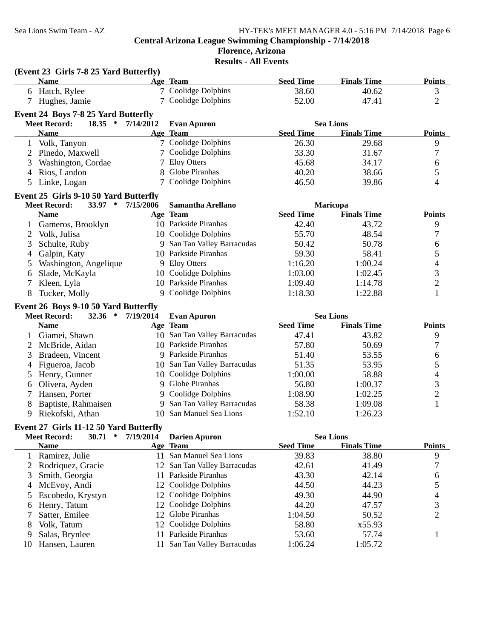# **Florence, Arizona**

**Results - All Events**

|                | (Event 23 Girls 7-8 25 Yard Butterfly)                                          |           |                                                |                  |                    |                          |
|----------------|---------------------------------------------------------------------------------|-----------|------------------------------------------------|------------------|--------------------|--------------------------|
|                | <b>Name</b>                                                                     |           | Age Team                                       | <b>Seed Time</b> | <b>Finals Time</b> | <b>Points</b>            |
|                | 6 Hatch, Rylee                                                                  |           | 7 Coolidge Dolphins                            | 38.60            | 40.62              | 3                        |
| 7              | Hughes, Jamie                                                                   |           | 7 Coolidge Dolphins                            | 52.00            | 47.41              | $\overline{2}$           |
|                |                                                                                 |           |                                                |                  |                    |                          |
|                | Event 24 Boys 7-8 25 Yard Butterfly<br><b>Meet Record:</b><br>18.35 * 7/14/2012 |           | <b>Evan Apuron</b>                             |                  | <b>Sea Lions</b>   |                          |
|                | <b>Name</b>                                                                     |           | Age Team                                       | <b>Seed Time</b> | <b>Finals Time</b> | <b>Points</b>            |
|                | 1 Volk, Tanyon                                                                  |           | 7 Coolidge Dolphins                            | 26.30            | 29.68              | $\boldsymbol{9}$         |
|                |                                                                                 |           | 7 Coolidge Dolphins                            | 33.30            | 31.67              | $\boldsymbol{7}$         |
| 3              | 2 Pinedo, Maxwell<br>Washington, Cordae                                         |           | 7 Eloy Otters                                  | 45.68            | 34.17              | 6                        |
|                |                                                                                 | 8         | Globe Piranhas                                 | 40.20            |                    | 5                        |
| $\overline{4}$ | Rios, Landon                                                                    |           | Coolidge Dolphins                              |                  | 38.66              | $\overline{\mathcal{L}}$ |
| 5              | Linke, Logan                                                                    |           |                                                | 46.50            | 39.86              |                          |
|                | Event 25 Girls 9-10 50 Yard Butterfly                                           |           |                                                |                  |                    |                          |
|                | <b>Meet Record:</b><br>33.97<br>$\ast$                                          | 7/15/2006 | Samantha Arellano                              |                  | Maricopa           |                          |
|                | <b>Name</b>                                                                     |           | Age Team                                       | <b>Seed Time</b> | <b>Finals Time</b> | <b>Points</b>            |
|                | 1 Gameros, Brooklyn                                                             |           | 10 Parkside Piranhas                           | 42.40            | 43.72              | $\overline{9}$           |
| 2              | Volk, Julisa                                                                    |           | 10 Coolidge Dolphins                           | 55.70            | 48.54              | $\boldsymbol{7}$         |
| 3              | Schulte, Ruby                                                                   | 9.        | San Tan Valley Barracudas                      | 50.42            | 50.78              | 6                        |
| 4              | Galpin, Katy                                                                    |           | 10 Parkside Piranhas                           | 59.30            | 58.41              | 5                        |
| 5              | Washington, Angelique                                                           |           | 9 Eloy Otters                                  | 1:16.20          | 1:00.24            | $\overline{\mathcal{A}}$ |
| 6              | Slade, McKayla                                                                  |           | 10 Coolidge Dolphins                           | 1:03.00          | 1:02.45            | $\mathfrak{Z}$           |
| 7              | Kleen, Lyla                                                                     |           | 10 Parkside Piranhas                           | 1:09.40          | 1:14.78            | $\sqrt{2}$               |
| 8              | Tucker, Molly                                                                   |           | 9 Coolidge Dolphins                            | 1:18.30          | 1:22.88            | $\mathbf{1}$             |
|                | Event 26 Boys 9-10 50 Yard Butterfly                                            |           |                                                |                  |                    |                          |
|                | <b>Meet Record:</b><br>32.36 * 7/19/2014                                        |           | <b>Evan Apuron</b>                             |                  | <b>Sea Lions</b>   |                          |
|                | <b>Name</b>                                                                     |           | Age Team                                       | <b>Seed Time</b> | <b>Finals Time</b> | <b>Points</b>            |
|                | 1 Giamei, Shawn                                                                 |           | 10 San Tan Valley Barracudas                   | 47.41            | 43.82              | $\boldsymbol{9}$         |
| 2              | McBride, Aidan                                                                  |           | 10 Parkside Piranhas                           | 57.80            | 50.69              | $\boldsymbol{7}$         |
| 3              | Bradeen, Vincent                                                                |           | 9 Parkside Piranhas                            | 51.40            | 53.55              | 6                        |
| 4              | Figueroa, Jacob                                                                 |           | 10 San Tan Valley Barracudas                   | 51.35            | 53.95              | $\mathfrak{S}$           |
| 5              | Henry, Gunner                                                                   |           | 10 Coolidge Dolphins                           | 1:00.00          | 58.88              | $\overline{\mathcal{A}}$ |
| 6              | Olivera, Ayden                                                                  |           | 9 Globe Piranhas                               | 56.80            | 1:00.37            | $\mathfrak 3$            |
| 7              | Hansen, Porter                                                                  |           | 9 Coolidge Dolphins                            | 1:08.90          | 1:02.25            | $\overline{2}$           |
| 8              | Baptiste, Rahmaisen                                                             |           | 9 San Tan Valley Barracudas                    | 58.38            | 1:09.08            | $\mathbf{1}$             |
| 9              | Riekofski, Athan                                                                |           | 10 San Manuel Sea Lions                        | 1:52.10          | 1:26.23            |                          |
|                |                                                                                 |           |                                                |                  |                    |                          |
|                | Event 27 Girls 11-12 50 Yard Butterfly                                          |           |                                                |                  |                    |                          |
|                | 30.71 * 7/19/2014<br><b>Meet Record:</b>                                        |           | <b>Darien Apuron</b>                           |                  | <b>Sea Lions</b>   |                          |
|                | <b>Name</b>                                                                     |           | Age Team                                       | <b>Seed Time</b> | <b>Finals Time</b> | <b>Points</b>            |
| 1              | Ramirez, Julie                                                                  |           | 11 San Manuel Sea Lions                        | 39.83            | 38.80              | 9                        |
| 2              | Rodriquez, Gracie                                                               | 12        | San Tan Valley Barracudas                      | 42.61            | 41.49              | 7                        |
| 3              | Smith, Georgia                                                                  | 11        | Parkside Piranhas                              | 43.30            | 42.14              | 6                        |
| 4              | McEvoy, Andi                                                                    | 12        | Coolidge Dolphins                              | 44.50            | 44.23              | 5                        |
|                |                                                                                 |           | Coolidge Dolphins                              | 49.30            | 44.90              | $\overline{4}$           |
| 5              | Escobedo, Krystyn                                                               | 12        |                                                |                  |                    |                          |
| 6              | Henry, Tatum                                                                    | 12        | Coolidge Dolphins                              | 44.20            | 47.57              | 3                        |
| 7              | Satter, Emilee                                                                  | 12        | Globe Piranhas                                 | 1:04.50          | 50.52              | $\mathbf{2}$             |
| 8              | Volk, Tatum                                                                     | 12        | Coolidge Dolphins                              | 58.80            | x55.93             |                          |
| 9<br>10        | Salas, Brynlee<br>Hansen, Lauren                                                | 11        | Parkside Piranhas<br>San Tan Valley Barracudas | 53.60<br>1:06.24 | 57.74<br>1:05.72   | $\mathbf{1}$             |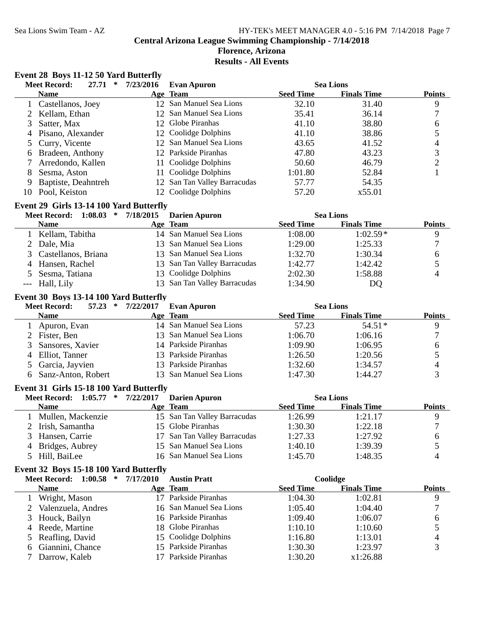#### **Florence, Arizona Results - All Events**

## **Event 28 Boys 11-12 50 Yard Butterfly**

|     | 27.71<br><b>Meet Record:</b><br>$\ast$ | 7/23/2016 | <b>Evan Apuron</b>           |                  | <b>Sea Lions</b>   |               |
|-----|----------------------------------------|-----------|------------------------------|------------------|--------------------|---------------|
|     | <b>Name</b>                            |           | Age Team                     | <b>Seed Time</b> | <b>Finals Time</b> | <b>Points</b> |
|     | 1 Castellanos, Joey                    |           | 12 San Manuel Sea Lions      | 32.10            | 31.40              | 9             |
|     | 2 Kellam, Ethan                        |           | 12 San Manuel Sea Lions      | 35.41            | 36.14              |               |
|     | Satter, Max                            |           | 12 Globe Piranhas            | 41.10            | 38.80              | 6             |
| 4   | Pisano, Alexander                      |           | 12 Coolidge Dolphins         | 41.10            | 38.86              |               |
|     | 5 Curry, Vicente                       |           | 12 San Manuel Sea Lions      | 43.65            | 41.52              | 4             |
|     | 6 Bradeen, Anthony                     |           | 12 Parkside Piranhas         | 47.80            | 43.23              | 3             |
|     | Arredondo, Kallen                      |           | 11 Coolidge Dolphins         | 50.60            | 46.79              |               |
| 8   | Sesma, Aston                           | 11        | Coolidge Dolphins            | 1:01.80          | 52.84              |               |
| 9   | Baptiste, Deahntreh                    |           | 12 San Tan Valley Barracudas | 57.77            | 54.35              |               |
| 10. | Pool, Keiston                          |           | 12 Coolidge Dolphins         | 57.20            | x55.01             |               |

## **Event 29 Girls 13-14 100 Yard Butterfly**

| <b>Meet Record: 1:08.03</b><br>$\ast$ | 7/18/2015 | <b>Darien Apuron</b>         |                  | <b>Sea Lions</b>   |               |
|---------------------------------------|-----------|------------------------------|------------------|--------------------|---------------|
| <b>Name</b>                           |           | Age Team                     | <b>Seed Time</b> | <b>Finals Time</b> | <b>Points</b> |
| Kellam, Tabitha                       |           | 14 San Manuel Sea Lions      | 1:08.00          | $1:02.59*$         | Q             |
| 2 Dale, Mia                           |           | 13 San Manuel Sea Lions      | 1:29.00          | 1:25.33            |               |
| 3 Castellanos, Briana                 |           | 13 San Manuel Sea Lions      | 1:32.70          | 1:30.34            | h             |
| 4 Hansen, Rachel                      |           | 13 San Tan Valley Barracudas | 1:42.77          | 1:42.42            |               |
| 5 Sesma, Tatiana                      |           | 13 Coolidge Dolphins         | 2:02.30          | 1:58.88            | 4             |
| --- Hall, Lily                        |           | 13 San Tan Valley Barracudas | 1:34.90          | DO                 |               |

#### **Event 30 Boys 13-14 100 Yard Butterfly**

| 57.23<br><b>Meet Record:</b><br>∗ | 7/22/2017 | Evan Apuron             |                  | <b>Sea Lions</b>   |               |
|-----------------------------------|-----------|-------------------------|------------------|--------------------|---------------|
| <b>Name</b>                       |           | Age Team                | <b>Seed Time</b> | <b>Finals Time</b> | <b>Points</b> |
| Apuron, Evan                      |           | 14 San Manuel Sea Lions | 57.23            | $54.51*$           |               |
| 2 Fister, Ben                     |           | 13 San Manuel Sea Lions | 1:06.70          | 1:06.16            |               |
| 3 Sansores, Xavier                |           | 14 Parkside Piranhas    | 1:09.90          | 1:06.95            |               |
| 4 Elliot, Tanner                  |           | 13 Parkside Piranhas    | 1:26.50          | 1:20.56            |               |
| 5 Garcia, Jayvien                 |           | 13 Parkside Piranhas    | 1:32.60          | 1:34.57            | 4             |
| 6 Sanz-Anton, Robert              |           | 13 San Manuel Sea Lions | 1:47.30          | 1:44.27            |               |

#### **Event 31 Girls 15-18 100 Yard Butterfly**

| Meet Record: 1:05.77 * | 7/22/2017 | <b>Darien Apuron</b>         |                  | <b>Sea Lions</b>   |               |
|------------------------|-----------|------------------------------|------------------|--------------------|---------------|
| <b>Name</b>            |           | Age Team                     | <b>Seed Time</b> | <b>Finals Time</b> | <b>Points</b> |
| Mullen, Mackenzie      |           | 15 San Tan Valley Barracudas | 1:26.99          | 1:21.17            |               |
| 2 Irish, Samantha      |           | 15 Globe Piranhas            | 1:30.30          | 1:22.18            |               |
| 3 Hansen, Carrie       |           | 17 San Tan Valley Barracudas | 1:27.33          | 1:27.92            |               |
| 4 Bridges, Aubrey      |           | 15 San Manuel Sea Lions      | 1:40.10          | 1:39.39            |               |
| 5 Hill, BaiLee         |           | 16 San Manuel Sea Lions      | 1:45.70          | 1:48.35            |               |

#### **Event 32 Boys 15-18 100 Yard Butterfly**

| <b>Meet Record: 1:00.58</b><br>∗ | 7/17/2010 | <b>Austin Pratt</b>     | Coolidge         |                    |               |
|----------------------------------|-----------|-------------------------|------------------|--------------------|---------------|
| <b>Name</b>                      |           | Age Team                | <b>Seed Time</b> | <b>Finals Time</b> | <b>Points</b> |
| Wright, Mason                    |           | Parkside Piranhas       | 1:04.30          | 1:02.81            | 9             |
| 2 Valenzuela, Andres             |           | 16 San Manuel Sea Lions | 1:05.40          | 1:04.40            |               |
| 3 Houck, Bailyn                  |           | 16 Parkside Piranhas    | 1:09.40          | 1:06.07            | O             |
| 4 Reede, Martine                 |           | 18 Globe Piranhas       | 1:10.10          | 1:10.60            |               |
| 5 Reafling, David                |           | 15 Coolidge Dolphins    | 1:16.80          | 1:13.01            | 4             |
| 6 Giannini, Chance               |           | 15 Parkside Piranhas    | 1:30.30          | 1:23.97            |               |
| Darrow, Kaleb                    |           | Parkside Piranhas       | 1:30.20          | x1:26.88           |               |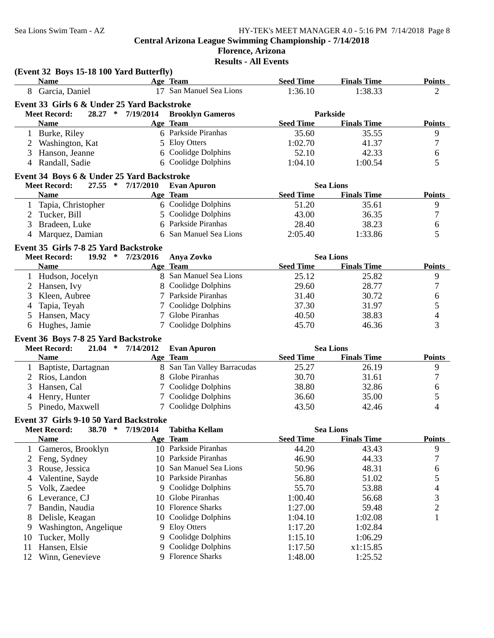|                | (Event 32 Boys 15-18 100 Yard Butterfly)        |           |                                               |                  |                                        |                          |
|----------------|-------------------------------------------------|-----------|-----------------------------------------------|------------------|----------------------------------------|--------------------------|
|                | <b>Name</b>                                     |           | Age Team                                      | <b>Seed Time</b> | <b>Finals Time</b>                     | <b>Points</b>            |
|                | 8 Garcia, Daniel                                |           | 17 San Manuel Sea Lions                       | 1:36.10          | 1:38.33                                | $\overline{2}$           |
|                | Event 33 Girls 6 & Under 25 Yard Backstroke     |           |                                               |                  |                                        |                          |
|                | 28.27 *<br><b>Meet Record:</b>                  | 7/19/2014 | <b>Brooklyn Gameros</b>                       |                  | Parkside                               |                          |
|                | <b>Name</b>                                     |           | Age Team                                      | <b>Seed Time</b> | <b>Finals Time</b>                     | <b>Points</b>            |
|                | 1 Burke, Riley                                  |           | 6 Parkside Piranhas                           | 35.60            | 35.55                                  | 9                        |
|                | Washington, Kat                                 |           | 5 Eloy Otters                                 | 1:02.70          | 41.37                                  | $\boldsymbol{7}$         |
| 3              | Hanson, Jeanne                                  | 6         | Coolidge Dolphins                             | 52.10            | 42.33                                  | 6                        |
| 4              | Randall, Sadie                                  |           | 6 Coolidge Dolphins                           | 1:04.10          | 1:00.54                                | 5                        |
|                | Event 34 Boys 6 & Under 25 Yard Backstroke      |           |                                               |                  |                                        |                          |
|                | $27.55$ *<br><b>Meet Record:</b>                | 7/17/2010 | <b>Evan Apuron</b>                            |                  | <b>Sea Lions</b>                       |                          |
|                | <b>Name</b>                                     |           | Age Team                                      | <b>Seed Time</b> | <b>Finals Time</b>                     | <b>Points</b>            |
| 1              | Tapia, Christopher                              |           | 6 Coolidge Dolphins                           | 51.20            | 35.61                                  | $\overline{9}$           |
| 2              | Tucker, Bill                                    | 5         | Coolidge Dolphins                             | 43.00            | 36.35                                  | $\tau$                   |
| 3              | Bradeen, Luke                                   | 6         | Parkside Piranhas                             | 28.40            | 38.23                                  | 6                        |
| 4              | Marquez, Damian                                 | 6         | San Manuel Sea Lions                          | 2:05.40          | 1:33.86                                | 5                        |
|                | Event 35 Girls 7-8 25 Yard Backstroke           |           |                                               |                  |                                        |                          |
|                | <b>Meet Record:</b><br>$19.92$ *                | 7/23/2016 | Anya Zovko                                    |                  | <b>Sea Lions</b>                       |                          |
|                | <b>Name</b>                                     |           | Age Team                                      | <b>Seed Time</b> | <b>Finals Time</b>                     | <b>Points</b>            |
|                | 1 Hudson, Jocelyn                               |           | 8 San Manuel Sea Lions                        | 25.12            | 25.82                                  | 9                        |
|                | Hansen, Ivy                                     |           | 8 Coolidge Dolphins                           | 29.60            | 28.77                                  | $\boldsymbol{7}$         |
| 3              | Kleen, Aubree                                   |           | 7 Parkside Piranhas                           | 31.40            | 30.72                                  | 6                        |
| 4              | Tapia, Teyah                                    |           | 7 Coolidge Dolphins                           | 37.30            | 31.97                                  | 5                        |
| 5              | Hansen, Macy                                    |           | 7 Globe Piranhas                              | 40.50            | 38.83                                  | $\overline{\mathcal{A}}$ |
| 6              | Hughes, Jamie                                   |           | 7 Coolidge Dolphins                           | 45.70            | 46.36                                  | 3                        |
|                |                                                 |           |                                               |                  |                                        |                          |
|                | Event 36 Boys 7-8 25 Yard Backstroke            |           |                                               |                  |                                        |                          |
|                | <b>Meet Record:</b><br>$21.04$ *<br><b>Name</b> | 7/14/2012 | <b>Evan Apuron</b><br>Age Team                | <b>Seed Time</b> | <b>Sea Lions</b><br><b>Finals Time</b> | <b>Points</b>            |
|                |                                                 |           |                                               |                  |                                        |                          |
|                | 1 Baptiste, Dartagnan                           |           | 8 San Tan Valley Barracudas<br>Globe Piranhas | 25.27            | 26.19                                  | $\overline{9}$           |
| 2              | Rios, Landon                                    | 8         |                                               | 30.70            | 31.61                                  | $\tau$                   |
| 3              | Hansen, Cal                                     |           | Coolidge Dolphins                             | 38.80            | 32.86                                  | 6                        |
| 4              | Henry, Hunter                                   | 7         | Coolidge Dolphins                             | 36.60            | 35.00                                  | 5                        |
| 5 <sup>5</sup> | Pinedo, Maxwell                                 |           | 7 Coolidge Dolphins                           | 43.50            | 42.46                                  | 4                        |
|                | Event 37 Girls 9-10 50 Yard Backstroke          |           |                                               |                  |                                        |                          |
|                | <b>Meet Record:</b><br>38.70<br>$\ast$          | 7/19/2014 | <b>Tabitha Kellam</b>                         |                  | <b>Sea Lions</b>                       |                          |
|                | <b>Name</b>                                     |           | Age Team                                      | <b>Seed Time</b> | <b>Finals Time</b>                     | <b>Points</b>            |
| $\mathbf{1}$   | Gameros, Brooklyn                               |           | 10 Parkside Piranhas                          | 44.20            | 43.43                                  | $\overline{9}$           |
| 2              | Feng, Sydney                                    | 10        | Parkside Piranhas                             | 46.90            | 44.33                                  | 7                        |
| 3              | Rouse, Jessica                                  | 10        | San Manuel Sea Lions                          | 50.96            | 48.31                                  | 6                        |
| 4              | Valentine, Sayde                                | 10        | Parkside Piranhas                             | 56.80            | 51.02                                  | 5                        |
| 5              | Volk, Zaedee                                    | 9         | Coolidge Dolphins                             | 55.70            | 53.88                                  | 4                        |
| 6              | Leverance, CJ                                   | 10        | Globe Piranhas                                | 1:00.40          | 56.68                                  | 3                        |
| 7              | Bandin, Naudia                                  | 10        | <b>Florence Sharks</b>                        | 1:27.00          | 59.48                                  | $\overline{c}$           |
| 8              | Delisle, Keagan                                 | 10        | Coolidge Dolphins                             | 1:04.10          | 1:02.08                                | $\mathbf{1}$             |
| 9              | Washington, Angelique                           | 9         | <b>Eloy Otters</b>                            | 1:17.20          | 1:02.84                                |                          |
| 10             | Tucker, Molly                                   | 9         | Coolidge Dolphins                             | 1:15.10          | 1:06.29                                |                          |
| 11             | Hansen, Elsie                                   | 9         | Coolidge Dolphins                             | 1:17.50          | x1:15.85                               |                          |
| 12             | Winn, Genevieve                                 |           | 9 Florence Sharks                             | 1:48.00          | 1:25.52                                |                          |
|                |                                                 |           |                                               |                  |                                        |                          |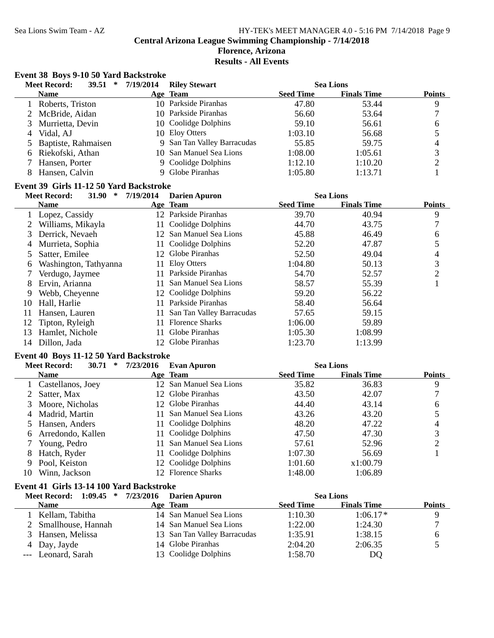#### **Florence, Arizona Results - All Events**

#### **Event 38 Boys 9-10 50 Yard Backstroke**

|   | <b>Meet Record:</b><br><b>39.51</b><br>$\ast$ | 7/19/2014 | <b>Riley Stewart</b>        |                  | <b>Sea Lions</b>   |               |
|---|-----------------------------------------------|-----------|-----------------------------|------------------|--------------------|---------------|
|   | <b>Name</b>                                   |           | Age Team                    | <b>Seed Time</b> | <b>Finals Time</b> | <b>Points</b> |
|   | Roberts, Triston                              |           | 10 Parkside Piranhas        | 47.80            | 53.44              | 9             |
|   | 2 McBride, Aidan                              |           | 10 Parkside Piranhas        | 56.60            | 53.64              |               |
|   | Murrietta, Devin                              |           | 10 Coolidge Dolphins        | 59.10            | 56.61              | 6             |
| 4 | Vidal, AJ                                     |           | 10 Eloy Otters              | 1:03.10          | 56.68              |               |
|   | 5 Baptiste, Rahmaisen                         |           | 9 San Tan Valley Barracudas | 55.85            | 59.75              | 4             |
|   | 6 Riekofski, Athan                            |           | 10 San Manuel Sea Lions     | 1:08.00          | 1:05.61            |               |
|   | Hansen, Porter                                |           | 9 Coolidge Dolphins         | 1:12.10          | 1:10.20            |               |
|   | Hansen, Calvin                                |           | 9 Globe Piranhas            | 1:05.80          | 1:13.71            |               |
|   |                                               |           |                             |                  |                    |               |

#### **Event 39 Girls 11-12 50 Yard Backstroke**

#### **Meet Record:** 31.90 \* 7/19/2014 Darien Apuron **Data Sea Lions** Sea Lions **Name Team Finals Time Age Seed Time Points** 1 Lopez, Cassidy 12 Parkside Piranhas 39.70 40.94 9<br>
2 Williams, Mikayla 11 Coolidge Dolphins 44.70 43.75 7 2 Williams, Mikayla 11 Coolidge Dolphins 44.70 43.75 3 Derrick, Nevaeh 12 San Manuel Sea Lions 45.88 46.49 6<br>4 Murrieta, Sophia 11 Coolidge Dolphins 52.20 47.87 5 4 Murrieta, Sophia 11 Coolidge Dolphins 52.20 47.87 5 Satter, Emilee 12 Globe Piranhas 52.50 49.04 4 6 Washington, Tathyanna 11 Eloy Otters 1:04.80 50.13 3 7 Verdugo, Jaymee 11 Parkside Piranhas 54.70 52.57 2 8 Ervin, Arianna 11 San Manuel Sea Lions 58.57 55.39 1 9 Webb, Cheyenne 12 Coolidge Dolphins 59.20 56.22 10 Hall, Harlie 11 Parkside Piranhas 58.40 56.64 11 Hansen, Lauren 11 San Tan Valley Barracudas 57.65 59.15<br>12 Tipton, Ryleigh 11 Florence Sharks 1:06.00 59.89 12 Tipton, Ryleigh 59.89 11 Florence Sharks 1:06.00 13 Hamlet, Nichole 11 Globe Piranhas 1:05.30 1:08.99 14 Dillon, Jada 1:13.99 12 Globe Piranhas 1:23.70

#### **Event 40 Boys 11-12 50 Yard Backstroke**

|    | 30.71<br><b>Meet Record:</b><br>∗ | 7/23/2016 | <b>Evan Apuron</b>      |                  | <b>Sea Lions</b>   |               |
|----|-----------------------------------|-----------|-------------------------|------------------|--------------------|---------------|
|    | <b>Name</b>                       |           | Age Team                | <b>Seed Time</b> | <b>Finals Time</b> | <b>Points</b> |
|    | 1 Castellanos, Joey               |           | 12 San Manuel Sea Lions | 35.82            | 36.83              | 9             |
|    | 2 Satter, Max                     |           | 12 Globe Piranhas       | 43.50            | 42.07              |               |
|    | 3 Moore, Nicholas                 |           | 12 Globe Piranhas       | 44.40            | 43.14              | 6             |
|    | 4 Madrid, Martin                  | 11.       | San Manuel Sea Lions    | 43.26            | 43.20              |               |
|    | 5 Hansen, Anders                  |           | 11 Coolidge Dolphins    | 48.20            | 47.22              | 4             |
| 6. | Arredondo, Kallen                 | 11.       | Coolidge Dolphins       | 47.50            | 47.30              | 3             |
|    | Young, Pedro                      | 11        | San Manuel Sea Lions    | 57.61            | 52.96              | C             |
| 8  | Hatch, Ryder                      |           | 11 Coolidge Dolphins    | 1:07.30          | 56.69              |               |
| 9  | Pool, Keiston                     |           | 12 Coolidge Dolphins    | 1:01.60          | x1:00.79           |               |
| 10 | Winn, Jackson                     |           | 12 Florence Sharks      | 1:48.00          | 1:06.89            |               |

#### **Event 41 Girls 13-14 100 Yard Backstroke**

| $1:09.45$ *<br><b>Meet Record:</b> | 7/23/2016 | <b>Darien Apuron</b>         |                  | <b>Sea Lions</b>   |               |
|------------------------------------|-----------|------------------------------|------------------|--------------------|---------------|
| <b>Name</b>                        |           | Age Team                     | <b>Seed Time</b> | <b>Finals Time</b> | <b>Points</b> |
| Kellam, Tabitha                    |           | 14 San Manuel Sea Lions      | 1:10.30          | $1:06.17*$         |               |
| 2 Smallhouse, Hannah               |           | 14 San Manuel Sea Lions      | 1:22.00          | 1:24.30            |               |
| 3 Hansen, Melissa                  |           | 13 San Tan Valley Barracudas | 1:35.91          | 1:38.15            | h             |
| 4 Day, Jayde                       |           | 14 Globe Piranhas            | 2:04.20          | 2:06.35            |               |
| --- Leonard, Sarah                 |           | 13 Coolidge Dolphins         | 1:58.70          | DQ                 |               |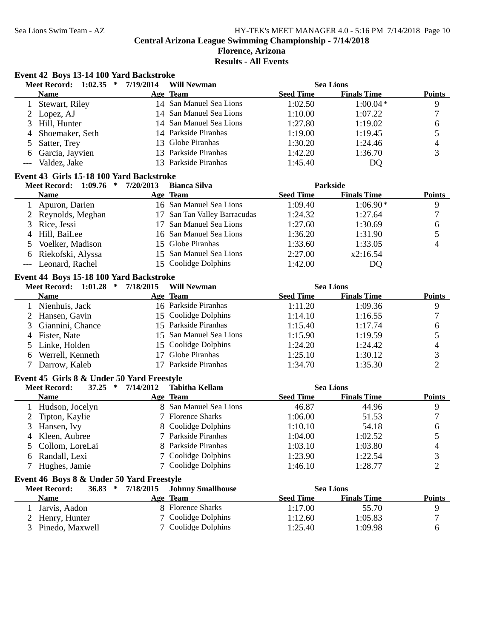#### Sea Lions Swim Team - AZ HY-TEK's MEET MANAGER 4.0 - 5:16 PM 7/14/2018 Page 10 **Central Arizona League Swimming Championship - 7/14/2018 Florence, Arizona Results - All Events**

|                | Meet Record: 1:02.35 * 7/19/2014           |           | <b>Will Newman</b>           |                  | <b>Sea Lions</b>   |                  |
|----------------|--------------------------------------------|-----------|------------------------------|------------------|--------------------|------------------|
|                | Name                                       |           | Age Team                     | <b>Seed Time</b> | <b>Finals Time</b> | <b>Points</b>    |
| $\mathbf{1}$   | Stewart, Riley                             |           | 14 San Manuel Sea Lions      | 1:02.50          | $1:00.04*$         | 9                |
| 2              | Lopez, AJ                                  |           | 14 San Manuel Sea Lions      | 1:10.00          | 1:07.22            | $\tau$           |
| 3              | Hill, Hunter                               |           | 14 San Manuel Sea Lions      | 1:27.80          | 1:19.02            | 6                |
| $\overline{4}$ | Shoemaker, Seth                            |           | 14 Parkside Piranhas         | 1:19.00          | 1:19.45            | 5                |
| 5              | Satter, Trey                               | 13        | Globe Piranhas               | 1:30.20          | 1:24.46            | 4                |
| 6              | Garcia, Jayvien                            |           | 13 Parkside Piranhas         | 1:42.20          | 1:36.70            | 3                |
| $---$          | Valdez, Jake                               |           | 13 Parkside Piranhas         | 1:45.40          | DQ                 |                  |
|                | Event 43 Girls 15-18 100 Yard Backstroke   |           |                              |                  |                    |                  |
|                | 1:09.76<br>*<br><b>Meet Record:</b>        | 7/20/2013 | <b>Bianca Silva</b>          |                  | <b>Parkside</b>    |                  |
|                | <b>Name</b>                                |           | Age Team                     | <b>Seed Time</b> | <b>Finals Time</b> | <b>Points</b>    |
|                | 1 Apuron, Darien                           |           | 16 San Manuel Sea Lions      | 1:09.40          | $1:06.90*$         | $\overline{9}$   |
| 2              | Reynolds, Meghan                           |           | 17 San Tan Valley Barracudas | 1:24.32          | 1:27.64            | 7                |
| 3              | Rice, Jessi                                | 17        | San Manuel Sea Lions         | 1:27.60          | 1:30.69            | 6                |
| 4              | Hill, BaiLee                               |           | 16 San Manuel Sea Lions      | 1:36.20          | 1:31.90            | 5                |
| 5              | Voelker, Madison                           |           | 15 Globe Piranhas            | 1:33.60          | 1:33.05            | $\overline{4}$   |
| 6              | Riekofski, Alyssa                          | 15        | San Manuel Sea Lions         | 2:27.00          | x2:16.54           |                  |
| $---$          | Leonard, Rachel                            |           | 15 Coolidge Dolphins         | 1:42.00          | DQ                 |                  |
|                | Event 44 Boys 15-18 100 Yard Backstroke    |           |                              |                  |                    |                  |
|                | Meet Record: 1:01.28 *                     | 7/18/2015 | <b>Will Newman</b>           |                  | <b>Sea Lions</b>   |                  |
|                | <b>Name</b>                                |           | Age Team                     | <b>Seed Time</b> | <b>Finals Time</b> | <b>Points</b>    |
|                | 1 Nienhuis, Jack                           |           | 16 Parkside Piranhas         | 1:11.20          | 1:09.36            | 9                |
| 2              | Hansen, Gavin                              |           | 15 Coolidge Dolphins         | 1:14.10          | 1:16.55            | $\boldsymbol{7}$ |
| $\mathfrak{Z}$ | Giannini, Chance                           |           | 15 Parkside Piranhas         | 1:15.40          | 1:17.74            | 6                |
| 4              | Fister, Nate                               |           | 15 San Manuel Sea Lions      | 1:15.90          | 1:19.59            | 5                |
| 5              | Linke, Holden                              |           | 15 Coolidge Dolphins         | 1:24.20          | 1:24.42            | 4                |
| 6              | Werrell, Kenneth                           | 17        | Globe Piranhas               | 1:25.10          | 1:30.12            | 3                |
| 7              | Darrow, Kaleb                              | 17        | Parkside Piranhas            | 1:34.70          | 1:35.30            | $\overline{2}$   |
|                | Event 45 Girls 8 & Under 50 Yard Freestyle |           |                              |                  |                    |                  |
|                | $37.25$ *<br><b>Meet Record:</b>           | 7/14/2012 | <b>Tabitha Kellam</b>        |                  | <b>Sea Lions</b>   |                  |
|                | <b>Name</b>                                |           | Age Team                     | <b>Seed Time</b> | <b>Finals Time</b> | <b>Points</b>    |
|                | 1 Hudson, Jocelyn                          |           | 8 San Manuel Sea Lions       | 46.87            | 44.96              | $\boldsymbol{9}$ |
|                | Tipton, Kaylie                             |           | 7 Florence Sharks            | 1:06.00          | 51.53              | $\boldsymbol{7}$ |
|                | 3 Hansen, Ivy                              |           | 8 Coolidge Dolphins          | 1:10.10          | 54.18              | $\sqrt{6}$       |
| 4              | Kleen, Aubree                              |           | 7 Parkside Piranhas          | 1:04.00          | 1:02.52            | 5                |
| 5              | Collom, LoreLai                            | 8         | Parkside Piranhas            | 1:03.10          | 1:03.80            | 4                |
| 6              | Randall, Lexi                              | 7         | Coolidge Dolphins            | 1:23.90          | 1:22.54            | 3                |
| 7              | Hughes, Jamie                              |           | 7 Coolidge Dolphins          | 1:46.10          | 1:28.77            | $\overline{2}$   |
|                | Event 46 Boys 8 & Under 50 Yard Freestyle  |           |                              |                  |                    |                  |
|                | <b>Meet Record:</b><br>$36.83$ *           | 7/18/2015 | <b>Johnny Smallhouse</b>     |                  | <b>Sea Lions</b>   |                  |
|                | <b>Name</b>                                |           | Age Team                     | <b>Seed Time</b> | <b>Finals Time</b> | <b>Points</b>    |
| 1              | Jarvis, Aadon                              |           | 8 Florence Sharks            | 1:17.00          | 55.70              | 9                |
| 2              | Henry, Hunter                              | 7         | <b>Coolidge Dolphins</b>     | 1:12.60          | 1:05.83            | 7                |
|                | 3 Pinedo, Maxwell                          |           | 7 Coolidge Dolphins          | 1:25.40          | 1:09.98            | 6                |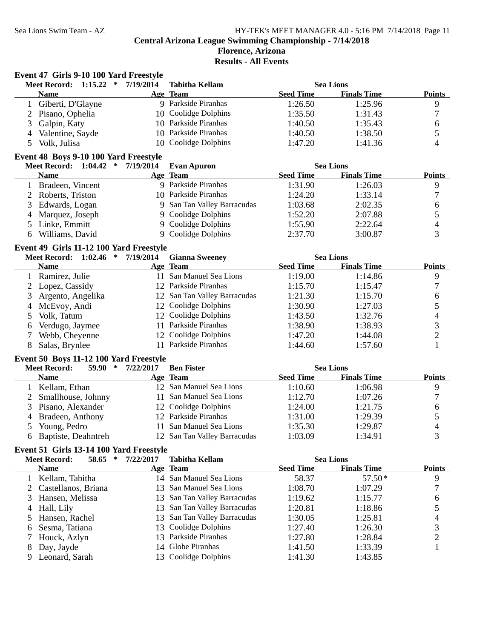**Event 47 Girls 9-10 100 Yard Freestyle**

# Sea Lions Swim Team - AZ HY-TEK's MEET MANAGER 4.0 - 5:16 PM 7/14/2018 Page 11

**Central Arizona League Swimming Championship - 7/14/2018**

|              | <b>Meet Record:</b><br>1:15.22<br>$\ast$ | 7/19/2014 | <b>Tabitha Kellam</b>        |                  | <b>Sea Lions</b>   |                     |
|--------------|------------------------------------------|-----------|------------------------------|------------------|--------------------|---------------------|
|              | <b>Name</b>                              |           | Age Team                     | <b>Seed Time</b> | <b>Finals Time</b> | <b>Points</b>       |
| $\mathbf{1}$ | Giberti, D'Glayne                        |           | 9 Parkside Piranhas          | 1:26.50          | 1:25.96            | 9                   |
| 2            | Pisano, Ophelia                          |           | 10 Coolidge Dolphins         | 1:35.50          | 1:31.43            | $\boldsymbol{7}$    |
| 3            | Galpin, Katy                             |           | 10 Parkside Piranhas         | 1:40.50          | 1:35.43            | 6                   |
| 4            | Valentine, Sayde                         |           | 10 Parkside Piranhas         | 1:40.50          | 1:38.50            | 5                   |
| 5            | Volk, Julisa                             |           | 10 Coolidge Dolphins         | 1:47.20          | 1:41.36            | 4                   |
|              | Event 48 Boys 9-10 100 Yard Freestyle    |           |                              |                  |                    |                     |
|              | Meet Record: 1:04.42 *                   | 7/19/2014 | <b>Evan Apuron</b>           |                  | <b>Sea Lions</b>   |                     |
|              | <b>Name</b>                              |           | Age Team                     | <b>Seed Time</b> | <b>Finals Time</b> | <b>Points</b>       |
| 1            | Bradeen, Vincent                         |           | 9 Parkside Piranhas          | 1:31.90          | 1:26.03            | 9                   |
|              | 2 Roberts, Triston                       |           | 10 Parkside Piranhas         | 1:24.20          | 1:33.14            | $\boldsymbol{7}$    |
| 3            | Edwards, Logan                           |           | 9 San Tan Valley Barracudas  | 1:03.68          | 2:02.35            | 6                   |
| 4            | Marquez, Joseph                          |           | 9 Coolidge Dolphins          | 1:52.20          | 2:07.88            | 5                   |
| 5            | Linke, Emmitt                            |           | 9 Coolidge Dolphins          | 1:55.90          | 2:22.64            | 4                   |
| 6            | Williams, David                          |           | 9 Coolidge Dolphins          | 2:37.70          | 3:00.87            | 3                   |
|              |                                          |           |                              |                  |                    |                     |
|              | Event 49 Girls 11-12 100 Yard Freestyle  |           |                              |                  |                    |                     |
|              | $\ast$<br><b>Meet Record: 1:02.46</b>    | 7/19/2014 | <b>Gianna Sweeney</b>        |                  | <b>Sea Lions</b>   |                     |
|              | <b>Name</b>                              |           | Age Team                     | <b>Seed Time</b> | <b>Finals Time</b> | <b>Points</b>       |
|              | 1 Ramirez, Julie                         |           | 11 San Manuel Sea Lions      | 1:19.00          | 1:14.86            | 9                   |
| 2            | Lopez, Cassidy                           |           | 12 Parkside Piranhas         | 1:15.70          | 1:15.47            | $\boldsymbol{7}$    |
| 3            | Argento, Angelika                        |           | 12 San Tan Valley Barracudas | 1:21.30          | 1:15.70            | 6                   |
| 4            | McEvoy, Andi                             |           | 12 Coolidge Dolphins         | 1:30.90          | 1:27.03            | 5                   |
| 5            | Volk, Tatum                              |           | 12 Coolidge Dolphins         | 1:43.50          | 1:32.76            | 4                   |
| 6            | Verdugo, Jaymee                          |           | 11 Parkside Piranhas         | 1:38.90          | 1:38.93            | 3                   |
| 7            | Webb, Cheyenne                           |           | 12 Coolidge Dolphins         | 1:47.20          | 1:44.08            | $\overline{c}$      |
| 8            | Salas, Brynlee                           |           | 11 Parkside Piranhas         | 1:44.60          | 1:57.60            | $\mathbf{1}$        |
|              | Event 50 Boys 11-12 100 Yard Freestyle   |           |                              |                  |                    |                     |
|              | 59.90<br>$\ast$<br><b>Meet Record:</b>   | 7/22/2017 | <b>Ben Fister</b>            |                  | <b>Sea Lions</b>   |                     |
|              | <b>Name</b>                              |           | Age Team                     | <b>Seed Time</b> | <b>Finals Time</b> | <b>Points</b>       |
|              | Kellam, Ethan                            |           | 12 San Manuel Sea Lions      | 1:10.60          | 1:06.98            | 9                   |
| 2            | Smallhouse, Johnny                       |           | 11 San Manuel Sea Lions      | 1:12.70          | 1:07.26            | $\boldsymbol{7}$    |
| 3            | Pisano, Alexander                        |           | 12 Coolidge Dolphins         | 1:24.00          | 1:21.75            | 6                   |
| 4            | Bradeen, Anthony                         |           | 12 Parkside Piranhas         | 1:31.00          | 1:29.39            | 5                   |
| 5            | Young, Pedro                             |           | 11 San Manuel Sea Lions      | 1:35.30          | 1:29.87            | 4                   |
| 6            | Baptiste, Deahntreh                      |           | 12 San Tan Valley Barracudas | 1:03.09          | 1:34.91            | 3                   |
|              | Event 51 Girls 13-14 100 Yard Freestyle  |           |                              |                  |                    |                     |
|              | <b>Meet Record:</b><br>58.65<br>$\ast$   | 7/22/2017 | <b>Tabitha Kellam</b>        |                  | <b>Sea Lions</b>   |                     |
|              | <b>Name</b>                              |           | Age Team                     | <b>Seed Time</b> | <b>Finals Time</b> | <b>Points</b>       |
|              | Kellam, Tabitha                          |           | 14 San Manuel Sea Lions      | 58.37            | 57.50*             | 9                   |
| 2            | Castellanos, Briana                      | 13        | San Manuel Sea Lions         | 1:08.70          | 1:07.29            | 7                   |
| 3            | Hansen, Melissa                          | 13        | San Tan Valley Barracudas    | 1:19.62          | 1:15.77            | 6                   |
| 4            | Hall, Lily                               | 13        | San Tan Valley Barracudas    | 1:20.81          | 1:18.86            | 5                   |
|              | Hansen, Rachel                           | 13        | San Tan Valley Barracudas    | 1:30.05          | 1:25.81            |                     |
| 5            | Sesma, Tatiana                           | 13        | Coolidge Dolphins            | 1:27.40          | 1:26.30            | 4<br>3              |
| 6            |                                          |           | Parkside Piranhas            | 1:27.80          |                    |                     |
| 7            | Houck, Azlyn                             | 13        | Globe Piranhas               |                  | 1:28.84            | $\overline{c}$<br>1 |
| 8            | Day, Jayde                               | 14        | 13 Coolidge Dolphins         | 1:41.50          | 1:33.39            |                     |
| 9            | Leonard, Sarah                           |           |                              | 1:41.30          | 1:43.85            |                     |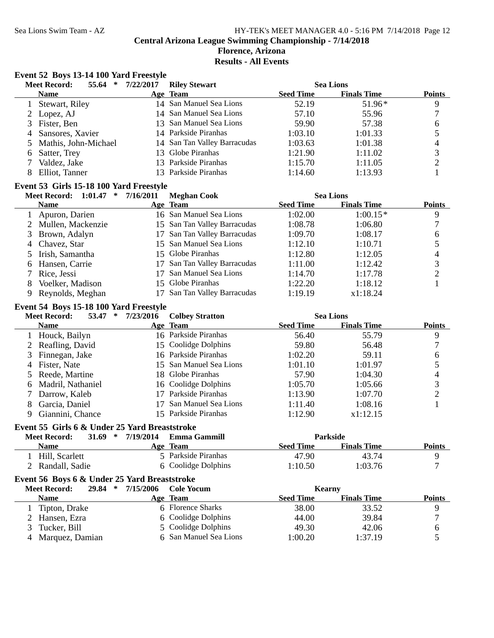#### **Florence, Arizona Results - All Events**

## **Event 52 Boys 13-14 100 Yard Freestyle**

|   | <b>Meet Record:</b><br>55.64<br>∗ | 7/22/2017 | <b>Riley Stewart</b>         |                  | <b>Sea Lions</b>   |               |
|---|-----------------------------------|-----------|------------------------------|------------------|--------------------|---------------|
|   | <b>Name</b>                       |           | Age Team                     | <b>Seed Time</b> | <b>Finals Time</b> | <b>Points</b> |
|   | Stewart, Riley                    |           | 14 San Manuel Sea Lions      | 52.19            | $51.96*$           | 9             |
|   | 2 Lopez, AJ                       |           | 14 San Manuel Sea Lions      | 57.10            | 55.96              |               |
|   | 3 Fister, Ben                     |           | 13 San Manuel Sea Lions      | 59.90            | 57.38              | 6             |
| 4 | Sansores, Xavier                  |           | 14 Parkside Piranhas         | 1:03.10          | 1:01.33            |               |
|   | 5 Mathis, John-Michael            |           | 14 San Tan Valley Barracudas | 1:03.63          | 1:01.38            | 4             |
| 6 | Satter, Trey                      |           | 13 Globe Piranhas            | 1:21.90          | 1:11.02            | 3             |
|   | Valdez, Jake                      |           | 13 Parkside Piranhas         | 1:15.70          | 1:11.05            |               |
|   | Elliot, Tanner                    |           | 13 Parkside Piranhas         | 1:14.60          | 1:13.93            |               |
|   |                                   |           |                              |                  |                    |               |

#### **Event 53 Girls 15-18 100 Yard Freestyle**

#### **Meet Record:** 1:01.47 \* 7/16/2011 Meghan Cook Sea Lions

|   |                     | $\sim$                       |                  |                    |               |
|---|---------------------|------------------------------|------------------|--------------------|---------------|
|   | <b>Name</b>         | Age Team                     | <b>Seed Time</b> | <b>Finals Time</b> | <b>Points</b> |
|   | 1 Apuron, Darien    | 16 San Manuel Sea Lions      | 1:02.00          | $1:00.15*$         | 9             |
|   | 2 Mullen, Mackenzie | 15 San Tan Valley Barracudas | 1:08.78          | 1:06.80            |               |
|   | 3 Brown, Adalyn     | 17 San Tan Valley Barracudas | 1:09.70          | 1:08.17            | 6             |
|   | 4 Chavez, Star      | 15 San Manuel Sea Lions      | 1:12.10          | 1:10.71            |               |
|   | 5 Irish, Samantha   | 15 Globe Piranhas            | 1:12.80          | 1:12.05            | 4             |
| 6 | Hansen, Carrie      | 17 San Tan Valley Barracudas | 1:11.00          | 1:12.42            |               |
|   | Rice, Jessi         | 17 San Manuel Sea Lions      | 1:14.70          | 1:17.78            |               |
| 8 | Voelker, Madison    | 15 Globe Piranhas            | 1:22.20          | 1:18.12            |               |
|   | Reynolds, Meghan    | 17 San Tan Valley Barracudas | 1:19.19          | x1:18.24           |               |

#### **Event 54 Boys 15-18 100 Yard Freestyle**

|    | <b>Meet Record:</b><br>53.47<br>∗ | 7/23/2016 | <b>Colbey Stratton</b>  |                  | <b>Sea Lions</b>   |               |
|----|-----------------------------------|-----------|-------------------------|------------------|--------------------|---------------|
|    | <b>Name</b>                       |           | Age Team                | <b>Seed Time</b> | <b>Finals Time</b> | <b>Points</b> |
|    | 1 Houck, Bailyn                   |           | 16 Parkside Piranhas    | 56.40            | 55.79              | 9             |
|    | 2 Reafling, David                 |           | 15 Coolidge Dolphins    | 59.80            | 56.48              |               |
|    | 3 Finnegan, Jake                  |           | 16 Parkside Piranhas    | 1:02.20          | 59.11              | 6             |
|    | 4 Fister, Nate                    |           | 15 San Manuel Sea Lions | 1:01.10          | 1:01.97            |               |
|    | 5 Reede, Martine                  |           | 18 Globe Piranhas       | 57.90            | 1:04.30            | 4             |
|    | 6 Madril, Nathaniel               |           | 16 Coolidge Dolphins    | 1:05.70          | 1:05.66            |               |
|    | Darrow, Kaleb                     | 17        | Parkside Piranhas       | 1:13.90          | 1:07.70            |               |
| 8. | Garcia, Daniel                    | 17        | San Manuel Sea Lions    | 1:11.40          | 1:08.16            |               |
|    | Giannini, Chance                  |           | 15 Parkside Piranhas    | 1:12.90          | x1:12.15           |               |

#### **Event 55 Girls 6 & Under 25 Yard Breaststroke**

| <b>Meet Record:</b> | 31.69<br>-* | 7/19/2014 | Emma Gammill        |           | <b>Parkside</b>    |               |
|---------------------|-------------|-----------|---------------------|-----------|--------------------|---------------|
| Name                |             |           | <b>Age Team</b>     | Seed Time | <b>Finals Time</b> | <b>Points</b> |
| Hill. Scarlett      |             |           | 5 Parkside Piranhas | 47.90     | 43.74              |               |
| 2 Randall, Sadie    |             |           | 6 Coolidge Dolphins | 1:10.50   | 1:03.76            |               |

## **Event 56 Boys 6 & Under 25 Yard Breaststroke**

|    | 29.84<br>∗<br><b>Meet Record:</b> | 7/15/2006 | Cole Yocum             | <b>Kearny</b>    |                    |               |
|----|-----------------------------------|-----------|------------------------|------------------|--------------------|---------------|
|    | <b>Name</b>                       |           | Age Team               | <b>Seed Time</b> | <b>Finals Time</b> | <b>Points</b> |
|    | Tipton, Drake                     |           | 6 Florence Sharks      | 38.00            | 33.52              |               |
|    | 2 Hansen, Ezra                    |           | 6 Coolidge Dolphins    | 44.00            | 39.84              |               |
| 3. | Tucker, Bill                      |           | 5 Coolidge Dolphins    | 49.30            | 42.06              |               |
| 4  | Marquez, Damian                   |           | 6 San Manuel Sea Lions | 1:00.20          | 1:37.19            |               |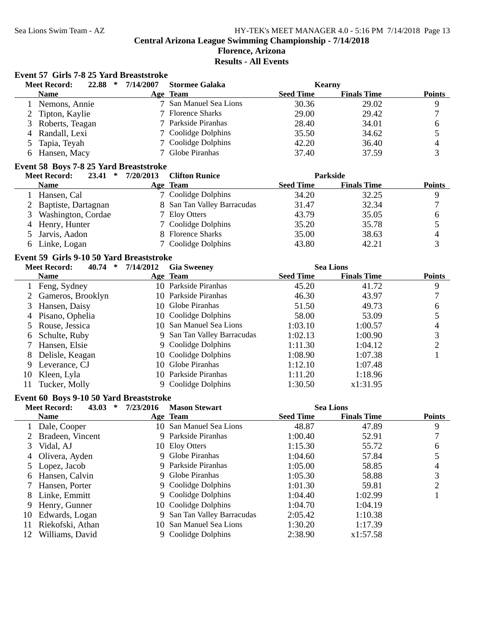## Sea Lions Swim Team - AZ HY-TEK's MEET MANAGER 4.0 - 5:16 PM 7/14/2018 Page 13 **Central Arizona League Swimming Championship - 7/14/2018**

### **Florence, Arizona Results - All Events**

#### **Event 57 Girls 7-8 25 Yard Breaststroke**

|                | <b>Meet Record:</b><br>22.88<br>$\ast$                        | 7/14/2007         | <b>Stormee Galaka</b>       | <b>Kearny</b>      |                    |                               |
|----------------|---------------------------------------------------------------|-------------------|-----------------------------|--------------------|--------------------|-------------------------------|
|                | <b>Name</b>                                                   |                   | Age Team                    | <b>Seed Time</b>   | <b>Finals Time</b> | <b>Points</b>                 |
| $\mathbf{1}$   | Nemons, Annie                                                 |                   | 7 San Manuel Sea Lions      | 30.36              | 29.02              | 9                             |
| 2              | Tipton, Kaylie                                                |                   | 7 Florence Sharks           | 29.00              | 29.42              | $\sqrt{ }$                    |
| 3              | Roberts, Teagan                                               |                   | 7 Parkside Piranhas         | 28.40              | 34.01              | 6                             |
| 4              | Randall, Lexi                                                 |                   | 7 Coolidge Dolphins         | 35.50              | 34.62              | 5                             |
| 5              | Tapia, Teyah                                                  | 7                 | Coolidge Dolphins           | 42.20              | 36.40              | 4                             |
| 6              | Hansen, Macy                                                  | 7                 | Globe Piranhas              | 37.40              | 37.59              | 3                             |
|                |                                                               |                   |                             |                    |                    |                               |
|                | Event 58 Boys 7-8 25 Yard Breaststroke<br><b>Meet Record:</b> | 23.41 * 7/20/2013 | <b>Clifton Runice</b>       |                    | Parkside           |                               |
|                | <b>Name</b>                                                   |                   | Age Team                    | <b>Seed Time</b>   | <b>Finals Time</b> | <b>Points</b>                 |
| 1              | Hansen, Cal                                                   |                   | 7 Coolidge Dolphins         | 34.20              | 32.25              | 9                             |
| $\overline{2}$ | Baptiste, Dartagnan                                           |                   | 8 San Tan Valley Barracudas | 31.47              | 32.34              | $\tau$                        |
| 3              | Washington, Cordae                                            |                   | 7 Eloy Otters               | 43.79              | 35.05              |                               |
|                |                                                               | 7                 | Coolidge Dolphins           | 35.20              | 35.78              | 6                             |
| 4              | Henry, Hunter                                                 | 8                 | <b>Florence Sharks</b>      | 35.00              |                    | 5                             |
| 5              | Jarvis, Aadon                                                 |                   |                             |                    | 38.63              | $\overline{\mathcal{A}}$<br>3 |
| 6              | Linke, Logan                                                  |                   | 7 Coolidge Dolphins         | 43.80              | 42.21              |                               |
|                | Event 59 Girls 9-10 50 Yard Breaststroke                      |                   |                             |                    |                    |                               |
|                | <b>Meet Record:</b><br>40.74 $*$                              | 7/14/2012         | <b>Gia Sweeney</b>          |                    | <b>Sea Lions</b>   |                               |
|                | <b>Name</b>                                                   |                   | Age Team                    | <b>Seed Time</b>   | <b>Finals Time</b> | <b>Points</b>                 |
|                | 1 Feng, Sydney                                                |                   | 10 Parkside Piranhas        | 45.20              | 41.72              | 9                             |
| 2              | Gameros, Brooklyn                                             |                   | 10 Parkside Piranhas        | 46.30              | 43.97              | 7                             |
| 3              | Hansen, Daisy                                                 |                   | 10 Globe Piranhas           | 51.50              | 49.73              | 6                             |
| 4              | Pisano, Ophelia                                               |                   | 10 Coolidge Dolphins        | 58.00              | 53.09              | 5                             |
| 5              | Rouse, Jessica                                                |                   | 10 San Manuel Sea Lions     | 1:03.10            | 1:00.57            | 4                             |
| 6              | Schulte, Ruby                                                 |                   | 9 San Tan Valley Barracudas | 1:02.13            | 1:00.90            | 3                             |
| 7              | Hansen, Elsie                                                 | 9                 | Coolidge Dolphins           | 1:11.30            | 1:04.12            | $\overline{c}$                |
| 8              | Delisle, Keagan                                               | 10                | Coolidge Dolphins           | 1:08.90            | 1:07.38            | 1                             |
| 9              | Leverance, CJ                                                 | 10                | Globe Piranhas              | 1:12.10            | 1:07.48            |                               |
| 10             | Kleen, Lyla                                                   |                   | 10 Parkside Piranhas        | 1:11.20            | 1:18.96            |                               |
| 11             | Tucker, Molly                                                 |                   | 9 Coolidge Dolphins         | 1:30.50            | x1:31.95           |                               |
|                | Event 60 Boys 9-10 50 Yard Breaststroke                       |                   |                             |                    |                    |                               |
|                | <b>Meet Record:</b><br>43.03 $*$                              | 7/23/2016         | <b>Mason Stewart</b>        |                    | <b>Sea Lions</b>   |                               |
|                | <b>Name</b>                                                   |                   | Age Team                    | <b>Seed Time</b>   | <b>Finals Time</b> | <b>Points</b>                 |
|                | Dale, Cooper                                                  |                   | 10 San Manuel Sea Lions     | 48.87              | 47.89              | 9                             |
| 2              | Bradeen, Vincent                                              |                   | 9 Parkside Piranhas         | 1:00.40            | 52.91              | $\overline{7}$                |
| 3              | Vidal, AJ                                                     |                   | 10 Eloy Otters              | 1:15.30            | 55.72              | 6                             |
| 4              | Olivera, Ayden                                                | 9                 | Globe Piranhas              | 1:04.60            | 57.84              | 5                             |
| 5              | Lopez, Jacob                                                  | 9                 | Parkside Piranhas           | 1:05.00            | 58.85              | 4                             |
| 6              | Hansen, Calvin                                                | 9                 | Globe Piranhas              | 1:05.30            | 58.88              | 3                             |
| 7              | Hansen, Porter                                                | 9                 | Coolidge Dolphins           | 1:01.30            | 59.81              | $\overline{c}$                |
| 8              | Linke, Emmitt                                                 | 9                 | Coolidge Dolphins           | 1:04.40            | 1:02.99            | 1                             |
| 9              | Henry, Gunner                                                 | 10                | Coolidge Dolphins           | 1:04.70            | 1:04.19            |                               |
|                | Edwards, Logan                                                | 9                 | San Tan Valley Barracudas   | 2:05.42            |                    |                               |
| 10             |                                                               | 10                | San Manuel Sea Lions        |                    | 1:10.38            |                               |
| 11             | Riekofski, Athan                                              |                   | 9 Coolidge Dolphins         | 1:30.20<br>2:38.90 | 1:17.39            |                               |
| 12             | Williams, David                                               |                   |                             |                    | x1:57.58           |                               |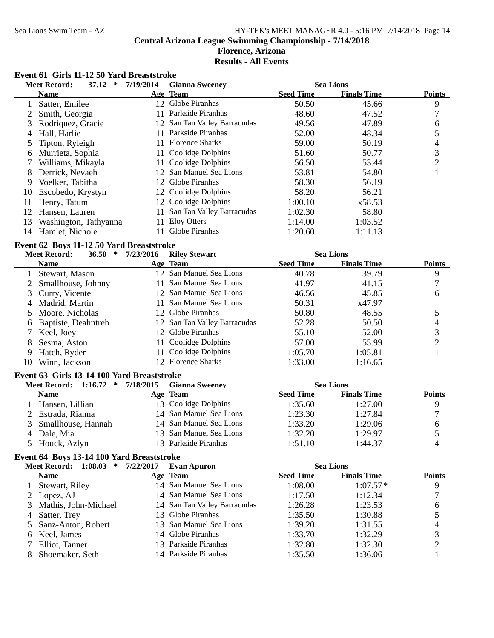#### Sea Lions Swim Team - AZ HY-TEK's MEET MANAGER 4.0 - 5:16 PM 7/14/2018 Page 14 **Central Arizona League Swimming Championship - 7/14/2018 Florence, Arizona Results - All Events**

# **Event 61 Girls 11-12 50 Yard Breaststroke**<br>Meet Becord: 37 12 \* 7/19/2014

|              | <b>Meet Record:</b><br>37.12<br>$\ast$     | 7/19/2014 | <b>Gianna Sweeney</b>        |                  | <b>Sea Lions</b>   |                |
|--------------|--------------------------------------------|-----------|------------------------------|------------------|--------------------|----------------|
|              | <b>Name</b>                                |           | Age Team                     | <b>Seed Time</b> | <b>Finals Time</b> | <b>Points</b>  |
|              | Satter, Emilee                             |           | 12 Globe Piranhas            | 50.50            | 45.66              | 9              |
| 2            | Smith, Georgia                             | 11        | Parkside Piranhas            | 48.60            | 47.52              | $\overline{7}$ |
| 3            | Rodriquez, Gracie                          | 12        | San Tan Valley Barracudas    | 49.56            | 47.89              | 6              |
| 4            | Hall, Harlie                               | 11        | Parkside Piranhas            | 52.00            | 48.34              | 5              |
| 5            | Tipton, Ryleigh                            |           | 11 Florence Sharks           | 59.00            | 50.19              | 4              |
| 6            | Murrieta, Sophia                           |           | 11 Coolidge Dolphins         | 51.60            | 50.77              | 3              |
| 7            | Williams, Mikayla                          |           | 11 Coolidge Dolphins         | 56.50            | 53.44              | $\overline{c}$ |
| 8            | Derrick, Nevaeh                            |           | 12 San Manuel Sea Lions      | 53.81            | 54.80              | 1              |
| 9            | Voelker, Tabitha                           |           | 12 Globe Piranhas            | 58.30            | 56.19              |                |
| 10           | Escobedo, Krystyn                          |           | 12 Coolidge Dolphins         | 58.20            | 56.21              |                |
| 11           | Henry, Tatum                               |           | 12 Coolidge Dolphins         | 1:00.10          | x58.53             |                |
| 12           | Hansen, Lauren                             | 11        | San Tan Valley Barracudas    | 1:02.30          | 58.80              |                |
| 13           | Washington, Tathyanna                      | 11        | <b>Eloy Otters</b>           | 1:14.00          | 1:03.52            |                |
| 14           | Hamlet, Nichole                            |           | 11 Globe Piranhas            | 1:20.60          | 1:11.13            |                |
|              | Event 62 Boys 11-12 50 Yard Breaststroke   |           |                              |                  |                    |                |
|              | <b>Meet Record:</b><br>$\ast$<br>36.50     | 7/23/2016 | <b>Riley Stewart</b>         |                  | <b>Sea Lions</b>   |                |
|              | <b>Name</b>                                |           | Age Team                     | <b>Seed Time</b> | <b>Finals Time</b> | <b>Points</b>  |
| $\mathbf{1}$ | Stewart, Mason                             |           | 12 San Manuel Sea Lions      | 40.78            | 39.79              | 9              |
| 2            | Smallhouse, Johnny                         |           | 11 San Manuel Sea Lions      | 41.97            | 41.15              | 7              |
| 3            | Curry, Vicente                             |           | 12 San Manuel Sea Lions      | 46.56            | 45.85              | 6              |
| 4            | Madrid, Martin                             | 11        | San Manuel Sea Lions         | 50.31            | x47.97             |                |
| 5            | Moore, Nicholas                            |           | 12 Globe Piranhas            | 50.80            | 48.55              | 5              |
| 6            | Baptiste, Deahntreh                        |           | 12 San Tan Valley Barracudas | 52.28            | 50.50              | 4              |
| 7            | Keel, Joey                                 |           | 12 Globe Piranhas            | 55.10            | 52.00              | 3              |
| 8            | Sesma, Aston                               | 11        | Coolidge Dolphins            | 57.00            | 55.99              | $\overline{c}$ |
| 9            | Hatch, Ryder                               | 11        | Coolidge Dolphins            | 1:05.70          | 1:05.81            | $\mathbf{1}$   |
| 10           | Winn, Jackson                              |           | 12 Florence Sharks           | 1:33.00          | 1:16.65            |                |
|              | Event 63 Girls 13-14 100 Yard Breaststroke |           |                              |                  |                    |                |
|              | Meet Record: 1:16.72 *                     | 7/18/2015 | <b>Gianna Sweeney</b>        |                  | <b>Sea Lions</b>   |                |
|              | <b>Name</b>                                |           | Age Team                     | <b>Seed Time</b> | <b>Finals Time</b> | <b>Points</b>  |
|              | 1 Hansen, Lillian                          |           | 13 Coolidge Dolphins         | 1:35.60          | 1:27.00            | 9              |
| 2            | Estrada, Rianna                            |           | 14 San Manuel Sea Lions      | 1:23.30          | 1:27.84            | 7              |
| 3            | Smallhouse, Hannah                         |           | 14 San Manuel Sea Lions      | 1:33.20          | 1:29.06            | 6              |
| 4            | Dale, Mia                                  |           | 13 San Manuel Sea Lions      | 1:32.20          | 1:29.97            | 5              |
| 5            | Houck, Azlyn                               |           | 13 Parkside Piranhas         | 1:51.10          | 1:44.37            | $\overline{4}$ |
|              | Event 64 Boys 13-14 100 Yard Breaststroke  |           |                              |                  |                    |                |
|              | <b>Meet Record: 1:08.03</b><br>$\ast$      | 7/22/2017 | <b>Evan Apuron</b>           |                  | <b>Sea Lions</b>   |                |
|              | <b>Name</b>                                |           | Age Team                     | <b>Seed Time</b> | <b>Finals Time</b> | <b>Points</b>  |
|              | Stewart, Riley                             |           | 14 San Manuel Sea Lions      | 1:08.00          | $1:07.57*$         | 9              |
| 2            | Lopez, AJ                                  | 14        | San Manuel Sea Lions         | 1:17.50          | 1:12.34            | 7              |
| 3            | Mathis, John-Michael                       | 14        | San Tan Valley Barracudas    | 1:26.28          | 1:23.53            | 6              |
| 4            | Satter, Trey                               | 13        | Globe Piranhas               | 1:35.50          | 1:30.88            | 5              |
| 5            | Sanz-Anton, Robert                         | 13        | San Manuel Sea Lions         | 1:39.20          | 1:31.55            | 4              |
| 6            | Keel, James                                |           | 14 Globe Piranhas            | 1:33.70          | 1:32.29            | 3              |
| 7            | Elliot, Tanner                             |           | 13 Parkside Piranhas         | 1:32.80          | 1:32.30            | 2              |
| 8            | Shoemaker, Seth                            |           | 14 Parkside Piranhas         | 1:35.50          | 1:36.06            | 1              |
|              |                                            |           |                              |                  |                    |                |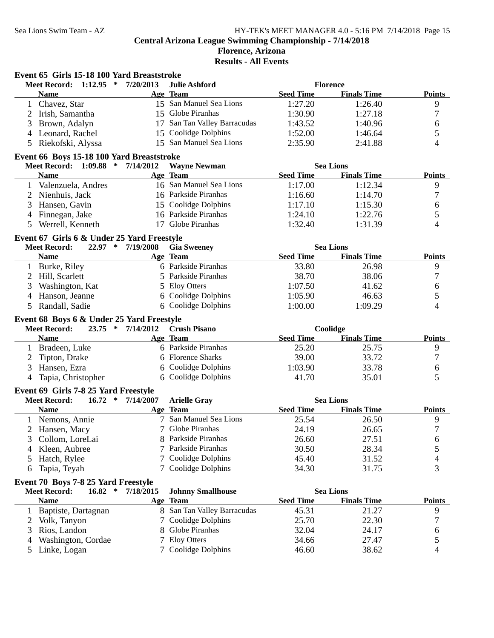|                | Event 65 Girls 15-18 100 Yard Breaststroke                                |                   |                                         |                  |                    |                  |
|----------------|---------------------------------------------------------------------------|-------------------|-----------------------------------------|------------------|--------------------|------------------|
|                | Meet Record: 1:12.95 *                                                    | 7/20/2013         | <b>Julie Ashford</b>                    |                  | <b>Florence</b>    |                  |
|                | <b>Name</b>                                                               |                   | Age Team                                | <b>Seed Time</b> | <b>Finals Time</b> | <b>Points</b>    |
|                | Chavez, Star                                                              |                   | 15 San Manuel Sea Lions                 | 1:27.20          | 1:26.40            | 9                |
|                | Irish, Samantha                                                           |                   | 15 Globe Piranhas                       | 1:30.90          | 1:27.18            | 7                |
| 3              | Brown, Adalyn                                                             | 17                | San Tan Valley Barracudas               | 1:43.52          | 1:40.96            | 6                |
|                | 4 Leonard, Rachel                                                         | 15                | Coolidge Dolphins                       | 1:52.00          | 1:46.64            | 5                |
| 5              | Riekofski, Alyssa                                                         |                   | 15 San Manuel Sea Lions                 | 2:35.90          | 2:41.88            | 4                |
|                | Event 66 Boys 15-18 100 Yard Breaststroke                                 |                   |                                         |                  |                    |                  |
|                | Meet Record: 1:09.88 * 7/14/2012                                          |                   | <b>Wayne Newman</b>                     |                  | <b>Sea Lions</b>   |                  |
|                | <b>Name</b>                                                               |                   | Age Team                                | <b>Seed Time</b> | <b>Finals Time</b> | <b>Points</b>    |
|                | 1 Valenzuela, Andres                                                      |                   | 16 San Manuel Sea Lions                 | 1:17.00          | 1:12.34            | 9                |
|                | 2 Nienhuis, Jack                                                          |                   | 16 Parkside Piranhas                    | 1:16.60          | 1:14.70            | $\boldsymbol{7}$ |
| 3              | Hansen, Gavin                                                             |                   | 15 Coolidge Dolphins                    | 1:17.10          | 1:15.30            | 6                |
| $\overline{4}$ | Finnegan, Jake                                                            |                   | 16 Parkside Piranhas                    | 1:24.10          | 1:22.76            | 5                |
| 5              | Werrell, Kenneth                                                          |                   | 17 Globe Piranhas                       | 1:32.40          | 1:31.39            | 4                |
|                |                                                                           |                   |                                         |                  |                    |                  |
|                | Event 67 Girls 6 & Under 25 Yard Freestyle<br>$22.97$ *                   |                   |                                         |                  |                    |                  |
|                | <b>Meet Record:</b>                                                       | 7/19/2008         | <b>Gia Sweeney</b>                      |                  | <b>Sea Lions</b>   |                  |
|                | <b>Name</b>                                                               |                   | Age Team<br>6 Parkside Piranhas         | <b>Seed Time</b> | <b>Finals Time</b> | <b>Points</b>    |
|                | 1 Burke, Riley                                                            |                   | 5 Parkside Piranhas                     | 33.80            | 26.98              | 9                |
| 2              | Hill, Scarlett                                                            |                   |                                         | 38.70            | 38.06              | 7                |
| 3              | Washington, Kat                                                           |                   | 5 Eloy Otters                           | 1:07.50          | 41.62              | 6                |
| 4              | Hanson, Jeanne                                                            |                   | 6 Coolidge Dolphins                     | 1:05.90          | 46.63              | 5                |
|                | 5 Randall, Sadie                                                          |                   | 6 Coolidge Dolphins                     | 1:00.00          | 1:09.29            | 4                |
|                | Event 68 Boys 6 & Under 25 Yard Freestyle                                 |                   |                                         |                  |                    |                  |
|                | <b>Meet Record:</b>                                                       | 23.75 * 7/14/2012 | <b>Crush Pisano</b>                     |                  | Coolidge           |                  |
|                |                                                                           |                   |                                         |                  |                    |                  |
|                | <b>Name</b>                                                               |                   | Age Team                                | <b>Seed Time</b> | <b>Finals Time</b> | <b>Points</b>    |
|                | 1 Bradeen, Luke                                                           |                   | 6 Parkside Piranhas                     | 25.20            | 25.75              | 9                |
| 2              | Tipton, Drake                                                             |                   | 6 Florence Sharks                       | 39.00            | 33.72              | 7                |
| 3              | Hansen, Ezra                                                              |                   | 6 Coolidge Dolphins                     | 1:03.90          | 33.78              | 6                |
| 4              | Tapia, Christopher                                                        |                   | 6 Coolidge Dolphins                     | 41.70            | 35.01              | 5                |
|                |                                                                           |                   |                                         |                  |                    |                  |
|                | Event 69 Girls 7-8 25 Yard Freestyle<br>∗<br><b>Meet Record:</b><br>16.72 | 7/14/2007         |                                         |                  | <b>Sea Lions</b>   |                  |
|                | <b>Name</b>                                                               |                   | <b>Arielle Gray</b><br>Age Team         | <b>Seed Time</b> | <b>Finals Time</b> | <b>Points</b>    |
|                |                                                                           |                   | 7 San Manuel Sea Lions                  | 25.54            | 26.50              |                  |
|                | 1 Nemons, Annie                                                           |                   | 7 Globe Piranhas                        |                  |                    | 9<br>7           |
|                | 2 Hansen, Macy                                                            |                   |                                         | 24.19            | 26.65              |                  |
|                | Collom, LoreLai                                                           |                   | 8 Parkside Piranhas                     | 26.60            | 27.51              | 6                |
|                | Kleen, Aubree                                                             |                   | 7 Parkside Piranhas                     | 30.50            | 28.34              | 5                |
| 5              | Hatch, Rylee                                                              |                   | 7 Coolidge Dolphins                     | 45.40            | 31.52              | 4                |
| 6              | Tapia, Teyah                                                              |                   | 7 Coolidge Dolphins                     | 34.30            | 31.75              | 3                |
|                | Event 70 Boys 7-8 25 Yard Freestyle                                       |                   |                                         |                  |                    |                  |
|                | <b>Meet Record:</b><br>$16.82$ *                                          | 7/18/2015         | <b>Johnny Smallhouse</b>                |                  | <b>Sea Lions</b>   |                  |
|                | <b>Name</b>                                                               |                   | Age Team                                | <b>Seed Time</b> | <b>Finals Time</b> | <b>Points</b>    |
|                | Baptiste, Dartagnan                                                       |                   | 8 San Tan Valley Barracudas             | 45.31            | 21.27              | 9                |
| 2              | Volk, Tanyon                                                              |                   | Coolidge Dolphins                       | 25.70            | 22.30              | 7                |
| 3              | Rios, Landon                                                              |                   | Globe Piranhas                          | 32.04            | 24.17              | 6                |
| 4<br>5         | Washington, Cordae<br>Linke, Logan                                        |                   | <b>Eloy Otters</b><br>Coolidge Dolphins | 34.66<br>46.60   | 27.47<br>38.62     | 5<br>4           |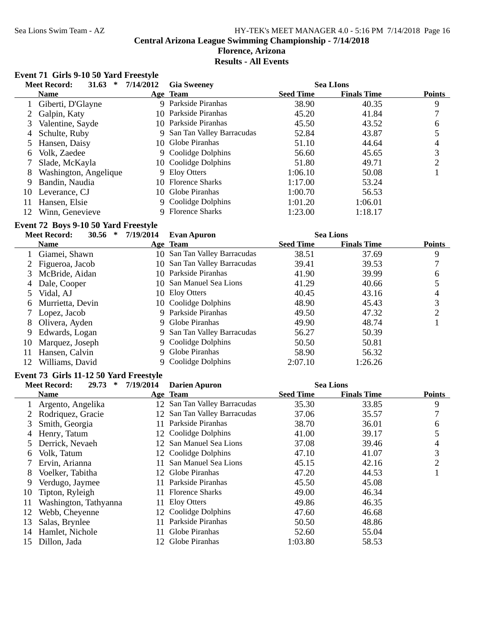#### Sea Lions Swim Team - AZ HY-TEK's MEET MANAGER 4.0 - 5:16 PM 7/14/2018 Page 16 **Central Arizona League Swimming Championship - 7/14/2018 Florence, Arizona Results - All Events**

## **Event 71 Girls 9-10 50 Yard Freestyle**

|     | 31.63<br><b>Meet Record:</b><br>∗ | 7/14/2012 | <b>Gia Sweeney</b>          |                  | <b>Sea LIons</b>   |               |
|-----|-----------------------------------|-----------|-----------------------------|------------------|--------------------|---------------|
|     | <b>Name</b>                       |           | Age Team                    | <b>Seed Time</b> | <b>Finals Time</b> | <b>Points</b> |
|     | Giberti, D'Glayne                 |           | 9 Parkside Piranhas         | 38.90            | 40.35              | 9             |
|     | Galpin, Katy                      |           | 10 Parkside Piranhas        | 45.20            | 41.84              |               |
| 3   | Valentine, Sayde                  |           | 10 Parkside Piranhas        | 45.50            | 43.52              | 6             |
| 4   | Schulte, Ruby                     |           | 9 San Tan Valley Barracudas | 52.84            | 43.87              |               |
|     | 5 Hansen, Daisy                   |           | 10 Globe Piranhas           | 51.10            | 44.64              | 4             |
| 6   | Volk, Zaedee                      |           | 9 Coolidge Dolphins         | 56.60            | 45.65              | 3             |
|     | Slade, McKayla                    |           | 10 Coolidge Dolphins        | 51.80            | 49.71              | ↑             |
| 8   | Washington, Angelique             |           | 9 Eloy Otters               | 1:06.10          | 50.08              |               |
| 9   | Bandin, Naudia                    |           | 10 Florence Sharks          | 1:17.00          | 53.24              |               |
| 10  | Leverance, CJ                     |           | 10 Globe Piranhas           | 1:00.70          | 56.53              |               |
| 11  | Hansen, Elsie                     |           | 9 Coolidge Dolphins         | 1:01.20          | 1:06.01            |               |
| 12. | Winn, Genevieve                   |           | 9 Florence Sharks           | 1:23.00          | 1:18.17            |               |

#### **Event 72 Boys 9-10 50 Yard Freestyle**

|    | 30.56<br><b>Meet Record:</b><br>∗ | 7/19/2014 | <b>Evan Apuron</b>           |                  | <b>Sea Lions</b>   |               |
|----|-----------------------------------|-----------|------------------------------|------------------|--------------------|---------------|
|    | <b>Name</b>                       |           | Age Team                     | <b>Seed Time</b> | <b>Finals Time</b> | <b>Points</b> |
|    | Giamei, Shawn                     | 10-       | San Tan Valley Barracudas    | 38.51            | 37.69              | 9             |
|    | 2 Figueroa, Jacob                 |           | 10 San Tan Valley Barracudas | 39.41            | 39.53              |               |
| 3  | McBride, Aidan                    |           | 10 Parkside Piranhas         | 41.90            | 39.99              | 6             |
| 4  | Dale, Cooper                      |           | 10 San Manuel Sea Lions      | 41.29            | 40.66              |               |
|    | Vidal, AJ                         |           | 10 Eloy Otters               | 40.45            | 43.16              | 4             |
| 6  | Murrietta, Devin                  |           | 10 Coolidge Dolphins         | 48.90            | 45.43              | 3             |
|    | Lopez, Jacob                      |           | Parkside Piranhas            | 49.50            | 47.32              |               |
| 8  | Olivera, Ayden                    |           | 9 Globe Piranhas             | 49.90            | 48.74              |               |
| 9  | Edwards, Logan                    |           | 9 San Tan Valley Barracudas  | 56.27            | 50.39              |               |
| 10 | Marquez, Joseph                   |           | 9 Coolidge Dolphins          | 50.50            | 50.81              |               |
| 11 | Hansen, Calvin                    |           | 9 Globe Piranhas             | 58.90            | 56.32              |               |
| 12 | Williams, David                   |           | 9 Coolidge Dolphins          | 2:07.10          | 1:26.26            |               |
|    |                                   |           |                              |                  |                    |               |

#### **Event 73 Girls 11-12 50 Yard Freestyle**

|    | 29.73<br><b>Meet Record:</b><br>∗ | 7/19/2014 | <b>Darien Apuron</b>         |                  | <b>Sea Lions</b>   |               |
|----|-----------------------------------|-----------|------------------------------|------------------|--------------------|---------------|
|    | <b>Name</b>                       |           | Age Team                     | <b>Seed Time</b> | <b>Finals Time</b> | <b>Points</b> |
|    | Argento, Angelika                 |           | 12 San Tan Valley Barracudas | 35.30            | 33.85              | 9             |
|    | 2 Rodriquez, Gracie               |           | 12 San Tan Valley Barracudas | 37.06            | 35.57              |               |
| 3  | Smith, Georgia                    | 11.       | Parkside Piranhas            | 38.70            | 36.01              | 6             |
| 4  | Henry, Tatum                      |           | 12 Coolidge Dolphins         | 41.00            | 39.17              |               |
|    | Derrick, Nevaeh                   |           | 12 San Manuel Sea Lions      | 37.08            | 39.46              | 4             |
| 6  | Volk, Tatum                       |           | 12 Coolidge Dolphins         | 47.10            | 41.07              | 3             |
|    | 7 Ervin, Arianna                  |           | San Manuel Sea Lions         | 45.15            | 42.16              | 2             |
| 8  | Voelker, Tabitha                  |           | 12 Globe Piranhas            | 47.20            | 44.53              |               |
| 9  | Verdugo, Jaymee                   | 11.       | Parkside Piranhas            | 45.50            | 45.08              |               |
| 10 | Tipton, Ryleigh                   | 11.       | <b>Florence Sharks</b>       | 49.00            | 46.34              |               |
| 11 | Washington, Tathyanna             | 11.       | Eloy Otters                  | 49.86            | 46.35              |               |
| 12 | Webb, Cheyenne                    |           | 12 Coolidge Dolphins         | 47.60            | 46.68              |               |
| 13 | Salas, Brynlee                    | 11.       | Parkside Piranhas            | 50.50            | 48.86              |               |
| 14 | Hamlet, Nichole                   | 11.       | Globe Piranhas               | 52.60            | 55.04              |               |
| 15 | Dillon, Jada                      |           | Globe Piranhas               | 1:03.80          | 58.53              |               |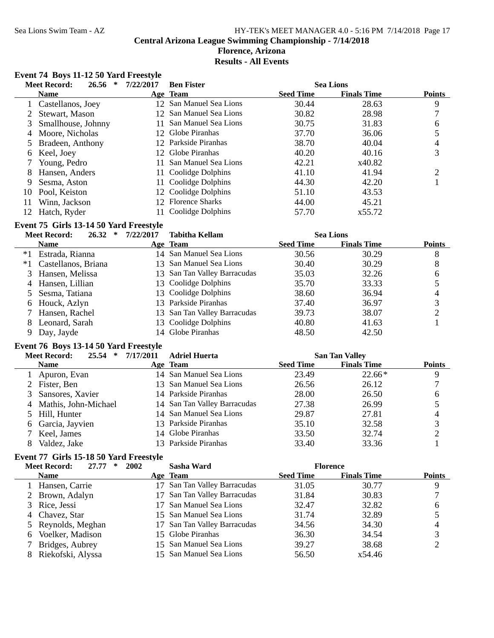#### Sea Lions Swim Team - AZ HY-TEK's MEET MANAGER 4.0 - 5:16 PM 7/14/2018 Page 17 **Central Arizona League Swimming Championship - 7/14/2018 Florence, Arizona Results - All Events**

## **Event 74 Boys 11-12 50 Yard Freestyle**

|     | 26.56<br><b>Meet Record:</b><br>∗ | 7/22/2017       | <b>Ben Fister</b>       |                  | <b>Sea Lions</b>   |               |
|-----|-----------------------------------|-----------------|-------------------------|------------------|--------------------|---------------|
|     | <b>Name</b>                       |                 | Age Team                | <b>Seed Time</b> | <b>Finals Time</b> | <b>Points</b> |
|     | Castellanos, Joey                 |                 | 12 San Manuel Sea Lions | 30.44            | 28.63              | 9             |
|     | Stewart, Mason                    | 12 <sup>7</sup> | San Manuel Sea Lions    | 30.82            | 28.98              |               |
| 3.  | Smallhouse, Johnny                |                 | San Manuel Sea Lions    | 30.75            | 31.83              | 6             |
| 4   | Moore, Nicholas                   | 12 <sub>1</sub> | Globe Piranhas          | 37.70            | 36.06              |               |
|     | Bradeen, Anthony                  |                 | 12 Parkside Piranhas    | 38.70            | 40.04              | 4             |
| 6   | Keel, Joey                        | 12 <sub>1</sub> | Globe Piranhas          | 40.20            | 40.16              | 3             |
|     | Young, Pedro                      |                 | San Manuel Sea Lions    | 42.21            | x40.82             |               |
| 8   | Hansen, Anders                    |                 | 11 Coolidge Dolphins    | 41.10            | 41.94              | ∍             |
| 9   | Sesma, Aston                      |                 | 11 Coolidge Dolphins    | 44.30            | 42.20              |               |
| 10  | Pool, Keiston                     |                 | 12 Coolidge Dolphins    | 51.10            | 43.53              |               |
| 11  | Winn, Jackson                     | 12 <sub>1</sub> | <b>Florence Sharks</b>  | 44.00            | 45.21              |               |
| 12. | Hatch, Ryder                      |                 | 11 Coolidge Dolphins    | 57.70            | x55.72             |               |

#### **Event 75 Girls 13-14 50 Yard Freestyle**

| 26.32               | 7/22/2017                                                                                                                                               | <b>Tabitha Kellam</b> |                                                                                                                                                                                                                                                     |                    |                  |
|---------------------|---------------------------------------------------------------------------------------------------------------------------------------------------------|-----------------------|-----------------------------------------------------------------------------------------------------------------------------------------------------------------------------------------------------------------------------------------------------|--------------------|------------------|
| <b>Name</b>         |                                                                                                                                                         |                       | <b>Seed Time</b>                                                                                                                                                                                                                                    | <b>Finals Time</b> | <b>Points</b>    |
| Estrada, Rianna     |                                                                                                                                                         |                       | 30.56                                                                                                                                                                                                                                               | 30.29              | 8                |
| Castellanos, Briana |                                                                                                                                                         |                       | 30.40                                                                                                                                                                                                                                               | 30.29              | 8                |
|                     |                                                                                                                                                         |                       | 35.03                                                                                                                                                                                                                                               | 32.26              | 6                |
|                     |                                                                                                                                                         |                       | 35.70                                                                                                                                                                                                                                               | 33.33              |                  |
|                     |                                                                                                                                                         |                       | 38.60                                                                                                                                                                                                                                               | 36.94              | 4                |
|                     |                                                                                                                                                         |                       | 37.40                                                                                                                                                                                                                                               | 36.97              | 3                |
|                     |                                                                                                                                                         |                       | 39.73                                                                                                                                                                                                                                               | 38.07              |                  |
|                     |                                                                                                                                                         |                       | 40.80                                                                                                                                                                                                                                               | 41.63              |                  |
|                     |                                                                                                                                                         |                       | 48.50                                                                                                                                                                                                                                               | 42.50              |                  |
|                     | <b>Meet Record:</b><br>3 Hansen, Melissa<br>4 Hansen, Lillian<br>5 Sesma, Tatiana<br>6 Houck, Azlyn<br>7 Hansen, Rachel<br>Leonard, Sarah<br>Day, Jayde | ∗                     | Age Team<br>14 San Manuel Sea Lions<br>13 San Manuel Sea Lions<br>13 San Tan Valley Barracudas<br>13 Coolidge Dolphins<br>13 Coolidge Dolphins<br>13 Parkside Piranhas<br>13 San Tan Valley Barracudas<br>13 Coolidge Dolphins<br>14 Globe Piranhas |                    | <b>Sea Lions</b> |

#### **Event 76 Boys 13-14 50 Yard Freestyle**

| 25.54<br><b>Meet Record:</b><br>∗ | 7/17/2011 | <b>Adriel Huerta</b>         |                  | <b>San Tan Valley</b> |               |
|-----------------------------------|-----------|------------------------------|------------------|-----------------------|---------------|
| <b>Name</b>                       |           | Age Team                     | <b>Seed Time</b> | <b>Finals Time</b>    | <b>Points</b> |
| 1 Apuron, Evan                    |           | 14 San Manuel Sea Lions      | 23.49            | $22.66*$              | 9             |
| 2 Fister, Ben                     |           | 13 San Manuel Sea Lions      | 26.56            | 26.12                 |               |
| 3 Sansores, Xavier                |           | 14 Parkside Piranhas         | 28.00            | 26.50                 | 6             |
| 4 Mathis, John-Michael            |           | 14 San Tan Valley Barracudas | 27.38            | 26.99                 |               |
| 5 Hill, Hunter                    |           | 14 San Manuel Sea Lions      | 29.87            | 27.81                 |               |
| 6 Garcia, Jayvien                 |           | 13 Parkside Piranhas         | 35.10            | 32.58                 |               |
| Keel, James                       |           | 14 Globe Piranhas            | 33.50            | 32.74                 |               |
| Valdez, Jake                      |           | 13 Parkside Piranhas         | 33.40            | 33.36                 |               |

## **Event 77 Girls 15-18 50 Yard Freestyle**

| <b>Meet Record:</b><br>27.77<br>∗ | 2002<br>Sasha Ward              |                  | <b>Florence</b>    |               |
|-----------------------------------|---------------------------------|------------------|--------------------|---------------|
| <b>Name</b>                       | <b>Age Team</b>                 | <b>Seed Time</b> | <b>Finals Time</b> | <b>Points</b> |
| 1 Hansen, Carrie                  | San Tan Valley Barracudas<br>17 | 31.05            | 30.77              | 9             |
| 2 Brown, Adalyn                   | 17 San Tan Valley Barracudas    | 31.84            | 30.83              |               |
| 3 Rice, Jessi                     | San Manuel Sea Lions            | 32.47            | 32.82              | 6             |
| 4 Chavez, Star                    | 15 San Manuel Sea Lions         | 31.74            | 32.89              |               |
| 5 Reynolds, Meghan                | 17 San Tan Valley Barracudas    | 34.56            | 34.30              |               |
| 6 Voelker, Madison                | 15 Globe Piranhas               | 36.30            | 34.54              |               |
| Bridges, Aubrey                   | 15 San Manuel Sea Lions         | 39.27            | 38.68              |               |
| Riekofski, Alyssa                 | 15 San Manuel Sea Lions         | 56.50            | x54.46             |               |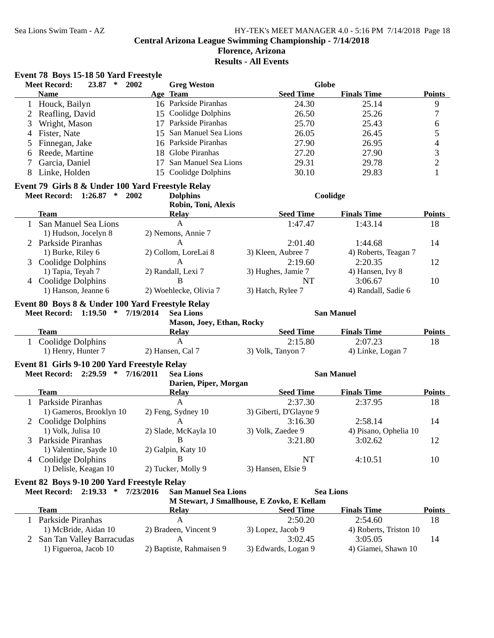## Sea Lions Swim Team - AZ HY-TEK's MEET MANAGER 4.0 - 5:16 PM 7/14/2018 Page 18 **Central Arizona League Swimming Championship - 7/14/2018 Florence, Arizona**

**Results - All Events**

## **Event 78 Boys 15-18 50 Yard Freestyle**

|              | <b>Meet Record:</b><br>23.87<br>$\ast$            | 2002<br><b>Greg Weston</b>               | <b>Globe</b>                               |                        |                          |
|--------------|---------------------------------------------------|------------------------------------------|--------------------------------------------|------------------------|--------------------------|
|              | <b>Name</b>                                       | Age Team                                 | <b>Seed Time</b>                           | <b>Finals Time</b>     | <b>Points</b>            |
| $\mathbf{1}$ | Houck, Bailyn                                     | 16 Parkside Piranhas                     | 24.30                                      | 25.14                  | $\boldsymbol{9}$         |
| 2            | Reafling, David                                   | 15 Coolidge Dolphins                     | 26.50                                      | 25.26                  | $\tau$                   |
| 3            | Wright, Mason                                     | 17 Parkside Piranhas                     | 25.70                                      | 25.43                  | $\sqrt{6}$               |
| 4            | Fister, Nate                                      | 15 San Manuel Sea Lions                  | 26.05                                      | 26.45                  | $\mathfrak s$            |
| 5            | Finnegan, Jake                                    | 16 Parkside Piranhas                     | 27.90                                      | 26.95                  | $\overline{\mathcal{A}}$ |
| 6            | Reede, Martine                                    | 18 Globe Piranhas                        | 27.20                                      | 27.90                  | 3                        |
| 7            | Garcia, Daniel                                    | San Manuel Sea Lions<br>17               | 29.31                                      | 29.78                  | $\overline{c}$           |
| 8            | Linke, Holden                                     | 15 Coolidge Dolphins                     | 30.10                                      | 29.83                  | $\mathbf{1}$             |
|              |                                                   |                                          |                                            |                        |                          |
|              | Event 79 Girls 8 & Under 100 Yard Freestyle Relay |                                          |                                            |                        |                          |
|              | Meet Record: 1:26.87 * 2002                       | <b>Dolphins</b>                          |                                            | Coolidge               |                          |
|              |                                                   | Robin, Toni, Alexis                      |                                            |                        |                          |
|              | <b>Team</b>                                       | <b>Relay</b>                             | <b>Seed Time</b>                           | <b>Finals Time</b>     | <b>Points</b>            |
| $\mathbf{1}$ | San Manuel Sea Lions                              | $\mathbf{A}$                             | 1:47.47                                    | 1:43.14                | 18                       |
|              | 1) Hudson, Jocelyn 8                              | 2) Nemons, Annie 7                       |                                            |                        |                          |
|              | 2 Parkside Piranhas                               | A                                        | 2:01.40                                    | 1:44.68                | 14                       |
|              | 1) Burke, Riley 6                                 | 2) Collom, LoreLai 8                     | 3) Kleen, Aubree 7                         | 4) Roberts, Teagan 7   |                          |
|              | 3 Coolidge Dolphins                               | $\mathbf{A}$                             | 2:19.60                                    | 2:20.35                | 12                       |
|              | 1) Tapia, Teyah 7                                 | 2) Randall, Lexi 7                       | 3) Hughes, Jamie 7                         | 4) Hansen, Ivy 8       |                          |
|              | 4 Coolidge Dolphins                               | B                                        | NT                                         | 3:06.67                | 10                       |
|              | 1) Hanson, Jeanne 6                               | 2) Woehlecke, Olivia 7                   | 3) Hatch, Rylee 7                          | 4) Randall, Sadie 6    |                          |
|              | Event 80 Boys 8 & Under 100 Yard Freestyle Relay  |                                          |                                            |                        |                          |
|              | Meet Record: 1:19.50 *                            | 7/19/2014<br><b>Sea Lions</b>            |                                            | <b>San Manuel</b>      |                          |
|              |                                                   | Mason, Joey, Ethan, Rocky                |                                            |                        |                          |
|              | <b>Team</b>                                       | <b>Relay</b>                             | <b>Seed Time</b>                           | <b>Finals Time</b>     | <b>Points</b>            |
|              | 1 Coolidge Dolphins                               | $\mathbf{A}$                             | 2:15.80                                    | 2:07.23                | 18                       |
|              | 1) Henry, Hunter 7                                | 2) Hansen, Cal 7                         | 3) Volk, Tanyon 7                          | 4) Linke, Logan 7      |                          |
|              |                                                   |                                          |                                            |                        |                          |
|              | Event 81 Girls 9-10 200 Yard Freestyle Relay      |                                          |                                            |                        |                          |
|              | Meet Record: 2:29.59 * 7/16/2011                  | <b>Sea Lions</b>                         |                                            | <b>San Manuel</b>      |                          |
|              |                                                   | Darien, Piper, Morgan                    |                                            |                        |                          |
|              | <b>Team</b>                                       | <b>Relay</b>                             | <b>Seed Time</b>                           | <b>Finals Time</b>     | <b>Points</b>            |
| $\mathbf{1}$ | Parkside Piranhas                                 | $\mathbf{A}$                             | 2:37.30                                    | 2:37.95                | 18                       |
|              | 1) Gameros, Brooklyn 10                           | 2) Feng, Sydney 10                       | 3) Giberti, D'Glayne 9                     |                        |                          |
|              | 2 Coolidge Dolphins                               | A                                        | 3:16.30                                    | 2:58.14                | 14                       |
|              | 1) Volk, Julisa 10                                | 2) Slade, McKayla 10                     | 3) Volk, Zaedee 9                          | 4) Pisano, Ophelia 10  |                          |
|              | 3 Parkside Piranhas                               | B                                        | 3:21.80                                    | 3:02.62                | 12                       |
|              | 1) Valentine, Sayde 10                            | 2) Galpin, Katy 10                       |                                            |                        |                          |
|              | 4 Coolidge Dolphins                               | В                                        | NT                                         | 4:10.51                | 10                       |
|              | 1) Delisle, Keagan 10                             | 2) Tucker, Molly 9                       | 3) Hansen, Elsie 9                         |                        |                          |
|              | Event 82 Boys 9-10 200 Yard Freestyle Relay       |                                          |                                            |                        |                          |
|              | Meet Record: 2:19.33 *                            | <b>San Manuel Sea Lions</b><br>7/23/2016 |                                            | <b>Sea Lions</b>       |                          |
|              |                                                   |                                          | M Stewart, J Smallhouse, E Zovko, E Kellam |                        |                          |
|              | <b>Team</b>                                       | <b>Relay</b>                             | <b>Seed Time</b>                           | <b>Finals Time</b>     | <b>Points</b>            |
| 1            | Parkside Piranhas                                 | A                                        | 2:50.20                                    | 2:54.60                | 18                       |
|              | 1) McBride, Aidan 10                              | 2) Bradeen, Vincent 9                    | 3) Lopez, Jacob 9                          | 4) Roberts, Triston 10 |                          |
|              | 2 San Tan Valley Barracudas                       | A                                        | 3:02.45                                    | 3:05.05                | 14                       |
|              | 1) Figueroa, Jacob 10                             | 2) Baptiste, Rahmaisen 9                 | 3) Edwards, Logan 9                        | 4) Giamei, Shawn 10    |                          |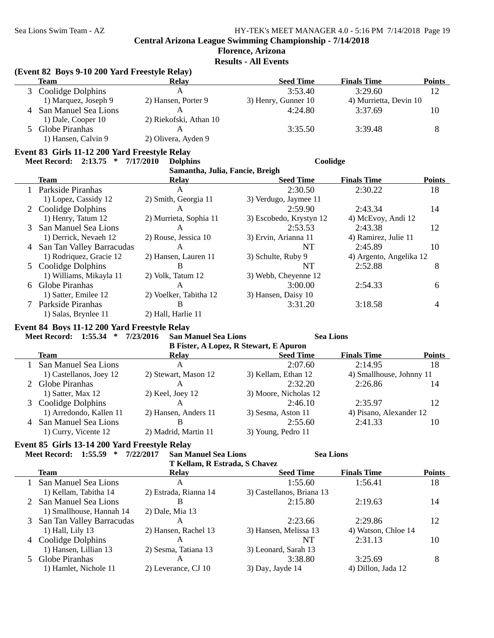## **Florence, Arizona**

**Results - All Events**

#### **(Event 82 Boys 9-10 200 Yard Freestyle Relay)**

|               | Team                 | <b>Relay</b>           | <b>Seed Time</b>    | <b>Finals Time</b>     | Points |
|---------------|----------------------|------------------------|---------------------|------------------------|--------|
|               | 3 Coolidge Dolphins  | А                      | 3:53.40             | 3:29.60                | 12     |
|               | 1) Marquez, Joseph 9 | 2) Hansen, Porter 9    | 3) Henry, Gunner 10 | 4) Murrietta, Devin 10 |        |
|               | San Manuel Sea Lions |                        | 4:24.80             | 3:37.69                | 10     |
|               | 1) Dale, Cooper 10   | 2) Riekofski, Athan 10 |                     |                        |        |
| $\mathcal{F}$ | Globe Piranhas       |                        | 3:35.50             | 3:39.48                | 8      |
|               | 1) Hansen, Calvin 9  | 2) Olivera, Ayden 9    |                     |                        |        |

### **Event 83 Girls 11-12 200 Yard Freestyle Relay**

## **Meet Record: 2:13.75 \* 7/17/2010 Coolidge Dolphins**

| Samantha, Julia, Fancie, Breigh |                             |                        |                         |                         |               |
|---------------------------------|-----------------------------|------------------------|-------------------------|-------------------------|---------------|
|                                 | <b>Team</b>                 | <b>Relay</b>           | <b>Seed Time</b>        | <b>Finals Time</b>      | <b>Points</b> |
|                                 | Parkside Piranhas           | A                      | 2:30.50                 | 2:30.22                 | 18            |
|                                 | 1) Lopez, Cassidy 12        | 2) Smith, Georgia 11   | 3) Verdugo, Jaymee 11   |                         |               |
|                                 | 2 Coolidge Dolphins         | A                      | 2:59.90                 | 2:43.34                 | 14            |
|                                 | 1) Henry, Tatum 12          | 2) Murrieta, Sophia 11 | 3) Escobedo, Krystyn 12 | 4) McEvoy, Andi 12      |               |
| 3                               | San Manuel Sea Lions        | A                      | 2:53.53                 | 2:43.38                 | 12            |
|                                 | 1) Derrick, Nevaeh 12       | 2) Rouse, Jessica 10   | 3) Ervin, Arianna 11    | 4) Ramirez, Julie 11    |               |
|                                 | 4 San Tan Valley Barracudas | A                      | NT                      | 2:45.89                 | 10            |
|                                 | 1) Rodriquez, Gracie 12     | 2) Hansen, Lauren 11   | 3) Schulte, Ruby 9      | 4) Argento, Angelika 12 |               |
|                                 | 5 Coolidge Dolphins         | В                      | NT                      | 2:52.88                 | 8             |
|                                 | 1) Williams, Mikayla 11     | 2) Volk, Tatum 12      | 3) Webb, Cheyenne 12    |                         |               |
| 6                               | Globe Piranhas              | A                      | 3:00.00                 | 2:54.33                 | 6             |
|                                 | 1) Satter, Emilee 12        | 2) Voelker, Tabitha 12 | 3) Hansen, Daisy 10     |                         |               |
|                                 | Parkside Piranhas           | В                      | 3:31.20                 | 3:18.58                 |               |
|                                 | 1) Salas, Brynlee 11        | 2) Hall, Harlie 11     |                         |                         |               |

#### **Event 84 Boys 11-12 200 Yard Freestyle Relay**

| 1:55.34<br><b>Meet Record:</b> | 7/23/2016<br>∗                                | <b>San Manuel Sea Lions</b> | <b>Sea Lions</b>         |               |  |  |
|--------------------------------|-----------------------------------------------|-----------------------------|--------------------------|---------------|--|--|
|                                | <b>B Fister, A Lopez, R Stewart, E Apuron</b> |                             |                          |               |  |  |
| <b>Team</b>                    | Relay                                         | <b>Seed Time</b>            | <b>Finals Time</b>       | <b>Points</b> |  |  |
| 1 San Manuel Sea Lions         | A                                             | 2:07.60                     | 2:14.95                  | 18            |  |  |
| 1) Castellanos, Joey 12        | 2) Stewart, Mason 12                          | 3) Kellam, Ethan 12         | 4) Smallhouse, Johnny 11 |               |  |  |
| 2 Globe Piranhas               | А                                             | 2:32.20                     | 2:26.86                  | 14            |  |  |
| 1) Satter, Max 12              | $2)$ Keel, Joey 12                            | 3) Moore, Nicholas 12       |                          |               |  |  |
| 3 Coolidge Dolphins            | A                                             | 2:46.10                     | 2:35.97                  | 12            |  |  |
| 1) Arredondo, Kallen 11        | 2) Hansen, Anders 11                          | 3) Sesma, Aston 11          | 4) Pisano, Alexander 12  |               |  |  |
| San Manuel Sea Lions<br>4      | B                                             | 2:55.60                     | 2:41.33                  | 10            |  |  |
| 1) Curry, Vicente 12           | 2) Madrid, Martin 11                          | 3) Young, Pedro 11          |                          |               |  |  |

## **Event 85 Girls 13-14 200 Yard Freestyle Relay**

| 1:55.59<br><b>Meet Record:</b><br>∗ | 7/22/2017<br><b>San Manuel Sea Lions</b> | <b>Sea Lions</b>          |                     |               |
|-------------------------------------|------------------------------------------|---------------------------|---------------------|---------------|
|                                     | T Kellam, R Estrada, S Chavez            |                           |                     |               |
| <b>Team</b>                         | <b>Relay</b>                             | <b>Seed Time</b>          | <b>Finals Time</b>  | <b>Points</b> |
| 1 San Manuel Sea Lions              | А                                        | 1:55.60                   | 1:56.41             | 18            |
| 1) Kellam, Tabitha 14               | 2) Estrada, Rianna 14                    | 3) Castellanos, Briana 13 |                     |               |
| 2 San Manuel Sea Lions              | B                                        | 2:15.80                   | 2:19.63             | 14            |
| 1) Smallhouse, Hannah 14            | $2)$ Dale, Mia 13                        |                           |                     |               |
| 3 San Tan Valley Barracudas         | A                                        | 2:23.66                   | 2:29.86             | 12            |
| 1) Hall, Lily 13                    | 2) Hansen, Rachel 13                     | 3) Hansen, Melissa 13     | 4) Watson, Chloe 14 |               |
| 4 Coolidge Dolphins                 | A                                        | NT                        | 2:31.13             | 10            |
| 1) Hansen, Lillian 13               | 2) Sesma, Tatiana 13                     | 3) Leonard, Sarah 13      |                     |               |
| 5 Globe Piranhas                    | A                                        | 3:38.80                   | 3:25.69             | 8             |
| 1) Hamlet, Nichole 11               | 2) Leverance, CJ 10                      | $3)$ Day, Jayde 14        | 4) Dillon, Jada 12  |               |